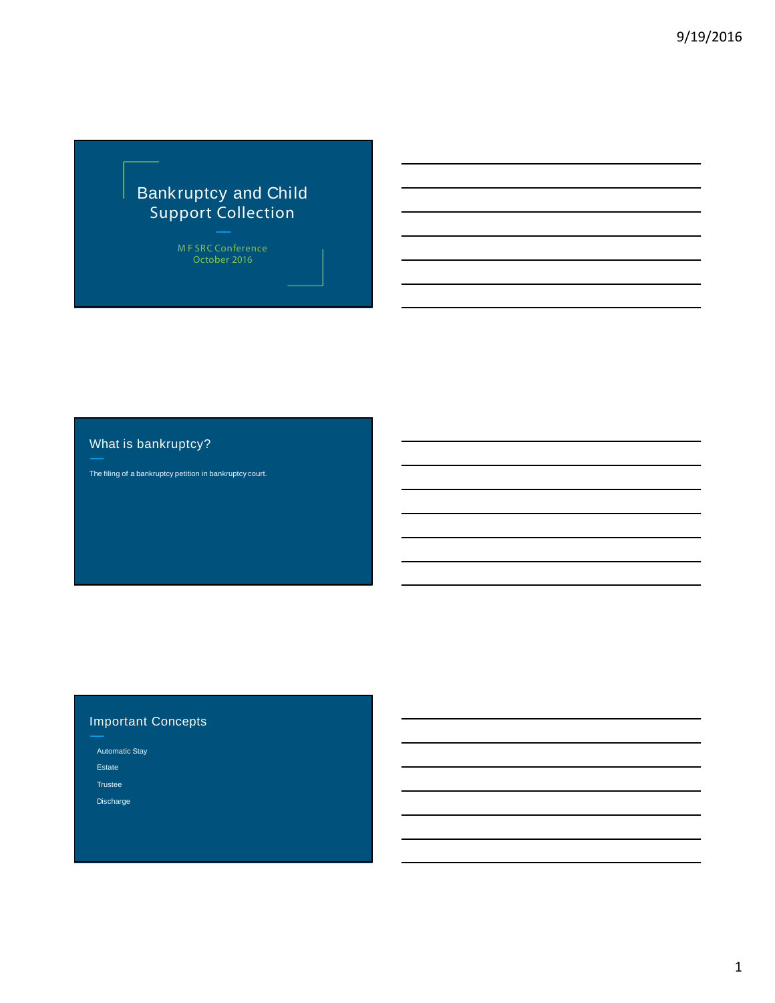## Bankruptcy and Child Support Collection

M F SRC Conference October 2016

### What is bankruptcy?

The filing of a bankruptcy petition in bankruptcy court.

### Important Concepts

Automatic Stay

Estate

Trustee

Discharge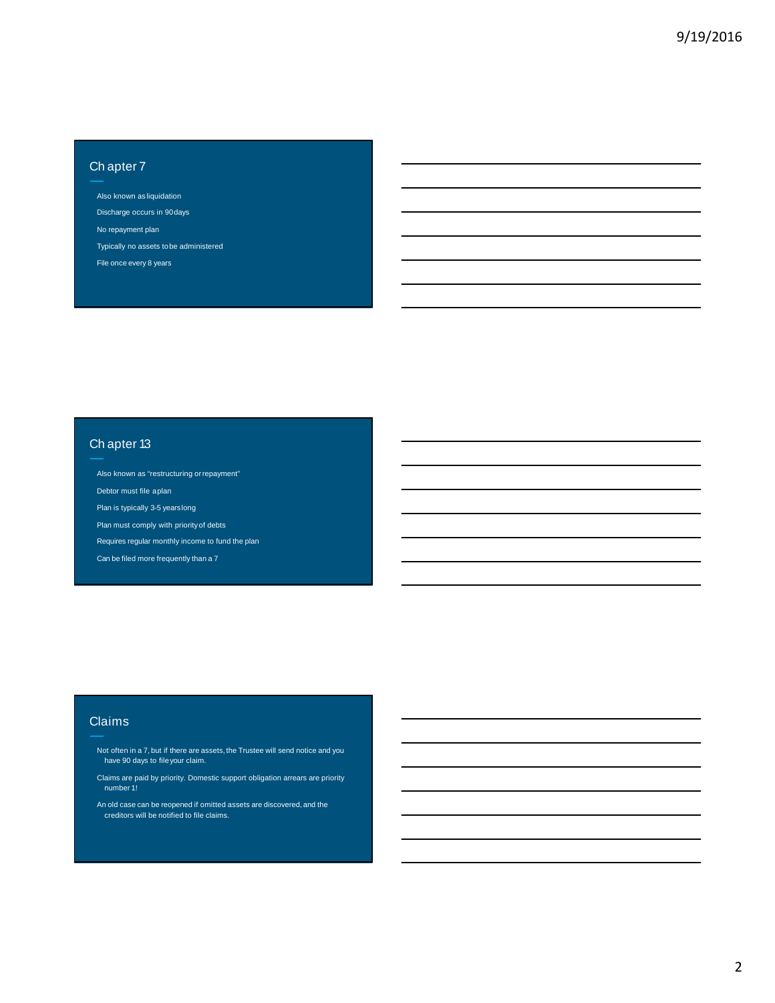### Ch apter 7

Also known as liquidation

Discharge occurs in 90days

No repayment plan

Typically no assets tobe administered

File once every 8 years

#### Ch apter 13

Also known as "restructuring orrepayment"

Debtor must file aplan

Plan is typically 3-5 yearslong

Plan must comply with priorityof debts

Requires regular monthly income to fund the plan

Can be filed more frequently than a 7

#### Claims

Not often in a 7, but if there are assets, the Trustee will send notice and you have 90 days to fileyour claim.

Claims are paid by priority. Domestic support obligation arrears are priority number 1!

An old case can be reopened if omitted assets are discovered, and the creditors will be notified to file claims.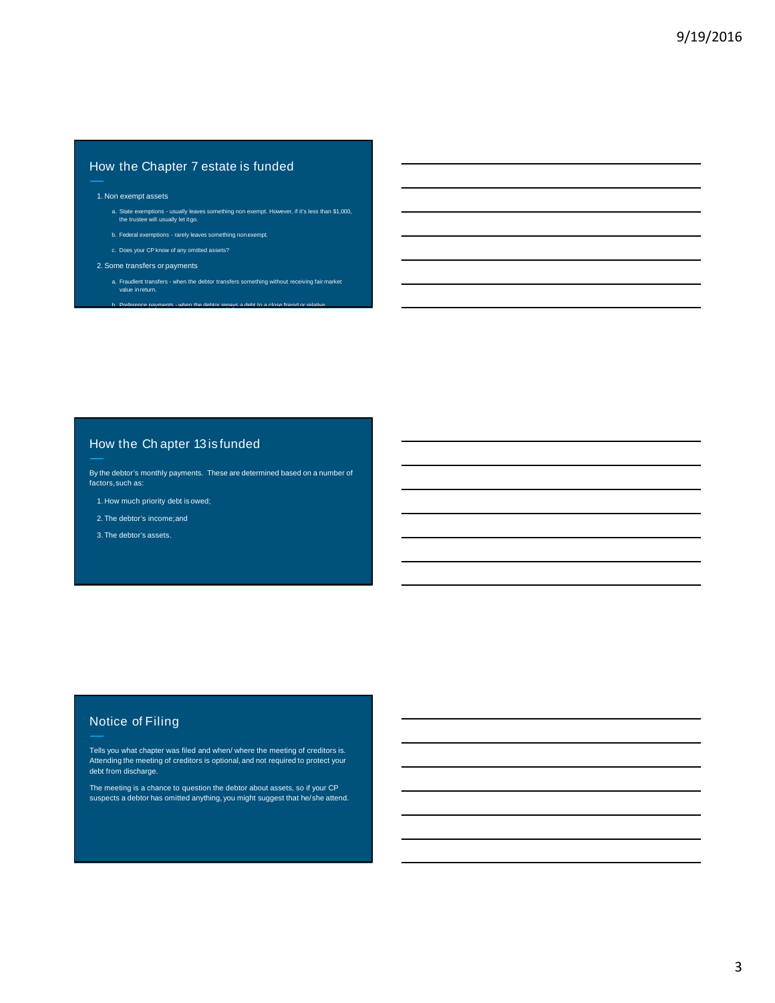### How the Chapter 7 estate is funded

#### 1. Non exempt assets

- a. State exemptions usually leaves something non exempt. However, if it's less than \$1,000, the trustee will usually let itgo.
- b. Federal exemptions rarely leaves something non exempt.
- c. Does your CP know of any omitted assets?
- 2. Some transfers or payments
	- a. Fraudlent transfers when the debtor transfers something without receiving fair market value in return. b. Preference payments - when the debtor repays a debt to a close friend or relative.

#### How the Ch apter 13 is funded

By the debtor's monthly payments. These are determined based on a number of factors,such as:

- 1. How much priority debt is owed;
- 2. The debtor's income;and
- 3. The debtor's assets.

### Notice of Filing

Tells you what chapter was filed and when/ where the meeting of creditors is. Attending the meeting of creditors is optional, and not required to protect your debt from discharge.

The meeting is a chance to question the debtor about assets, so if your CP suspects a debtor has omitted anything, you might suggest that he/she attend.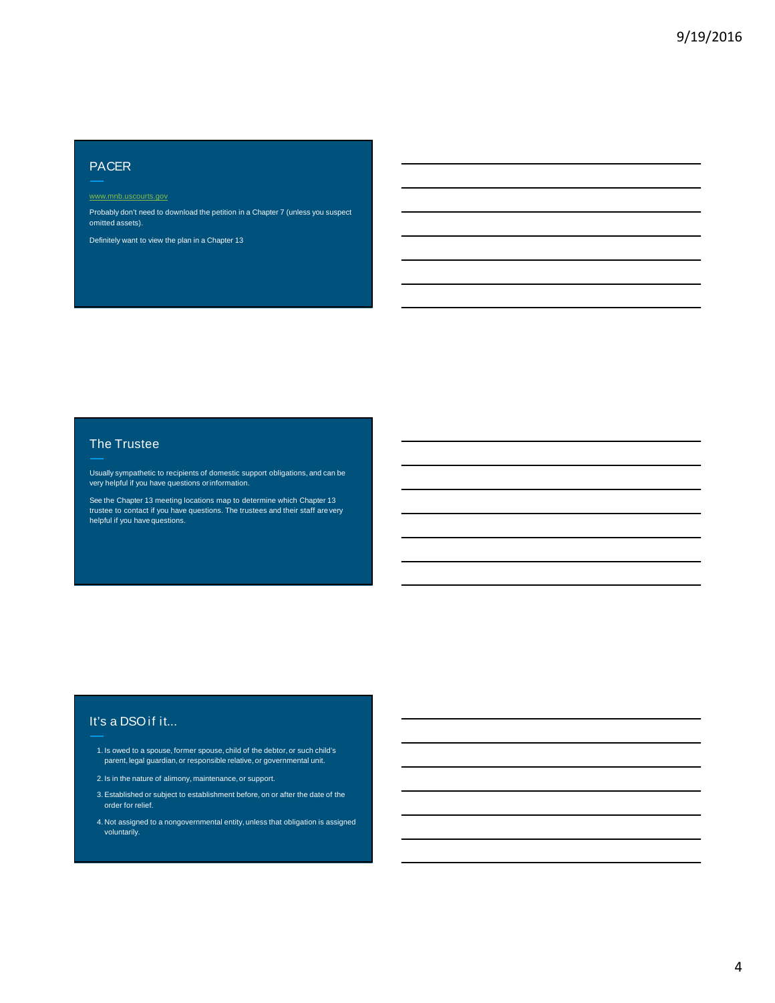#### PACER

www.mnb.uscourts.gov

Probably don't need to download the petition in a Chapter 7 (unless you suspect omitted assets).

Definitely want to view the plan in a Chapter 13

#### The Trustee

Usually sympathetic to recipients of domestic support obligations, and can be very helpful if you have questions orinformation.

See the Chapter 13 meeting locations map to determine which Chapter 13 trustee to contact if you have questions. The trustees and their staff are very helpful if you have questions.

#### It's a DSO if it...

- 1. Is owed to a spouse, former spouse, child of the debtor, or such child's parent, legal guardian,or responsible relative, or governmental unit.
- 2. Is in the nature of alimony, maintenance, or support.
- 3. Established or subject to establishment before, on or after the date of the order for relief.
- 4. Not assigned to a nongovernmental entity, unless that obligation is assigned voluntarily.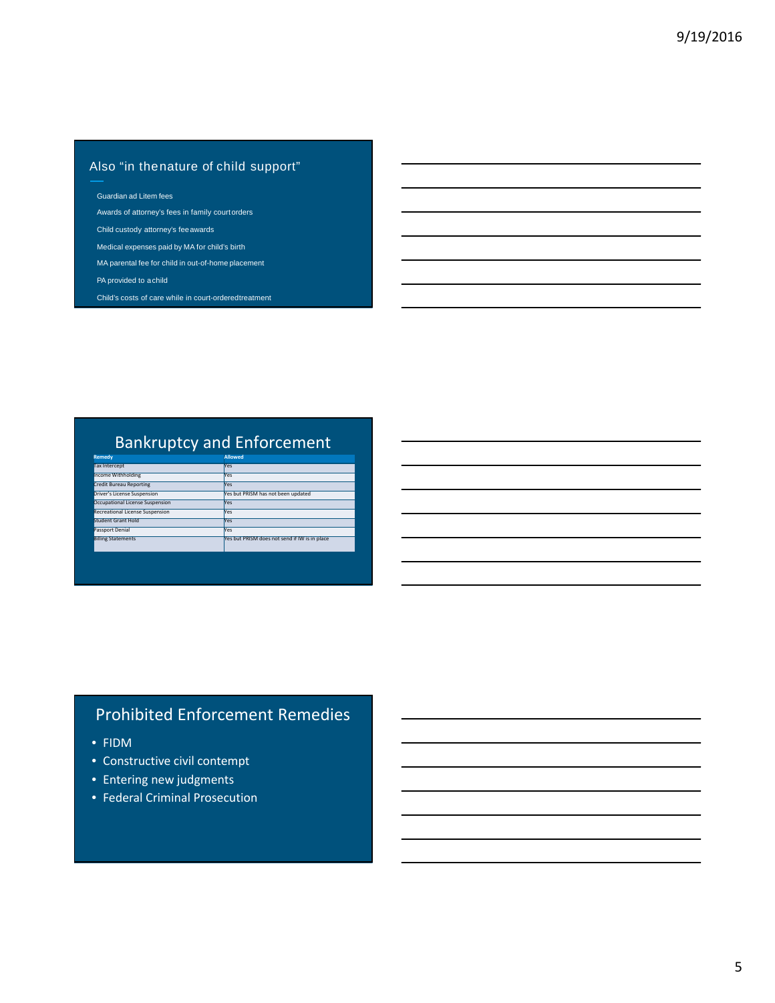### Also "in thenature of child support"

Guardian ad Litem fees

Awards of attorney's fees in family courtorders

Child custody attorney's feeawards

Medical expenses paid by MA for child's birth

MA parental fee for child in out-of-home placement

PA provided to achild

Child's costs of care while in court-orderedtreatment

# Bankruptcy and Enforcement

| <b>Remedy</b>                      | Allowed                                       |
|------------------------------------|-----------------------------------------------|
| <b>Tax Intercept</b>               | <b>Yes</b>                                    |
| <b>Income Withholding</b>          | <b>Yes</b>                                    |
| <b>Credit Bureau Reporting</b>     | <b>Yes</b>                                    |
| <b>Driver's License Suspension</b> | Yes but PRISM has not been updated            |
| Occupational License Suspension    | <b>Yes</b>                                    |
| Recreational License Suspension    | <b>Yes</b>                                    |
| <b>Student Grant Hold</b>          | <b>Yes</b>                                    |
| <b>Passport Denial</b>             | <b>Yes</b>                                    |
| <b>Billing Statements</b>          | Yes but PRISM does not send if IW is in place |
|                                    |                                               |

# Prohibited Enforcement Remedies

- FIDM
- Constructive civil contempt
- Entering new judgments
- Federal Criminal Prosecution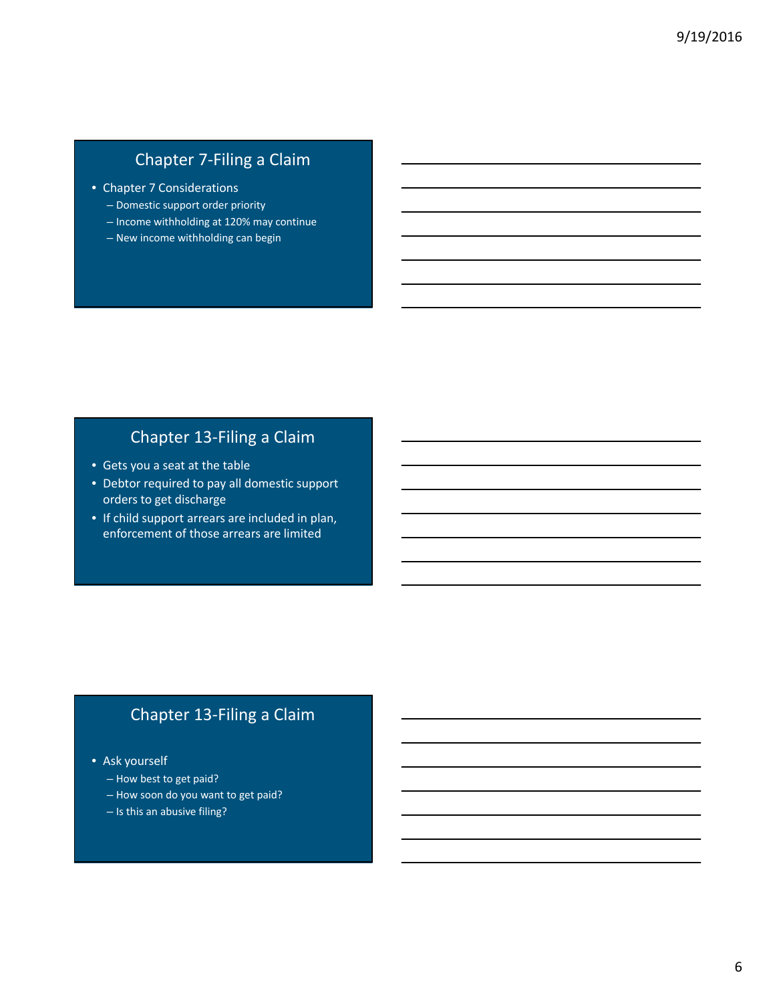# Chapter 7-Filing a Claim

- Chapter 7 Considerations
	- Domestic support order priority
	- Income withholding at 120% may continue
	- New income withholding can begin

# Chapter 13-Filing a Claim

- Gets you a seat at the table
- Debtor required to pay all domestic support orders to get discharge
- If child support arrears are included in plan, enforcement of those arrears are limited

# Chapter 13-Filing a Claim

- Ask yourself
	- How best to get paid?
	- How soon do you want to get paid?
	- Is this an abusive filing?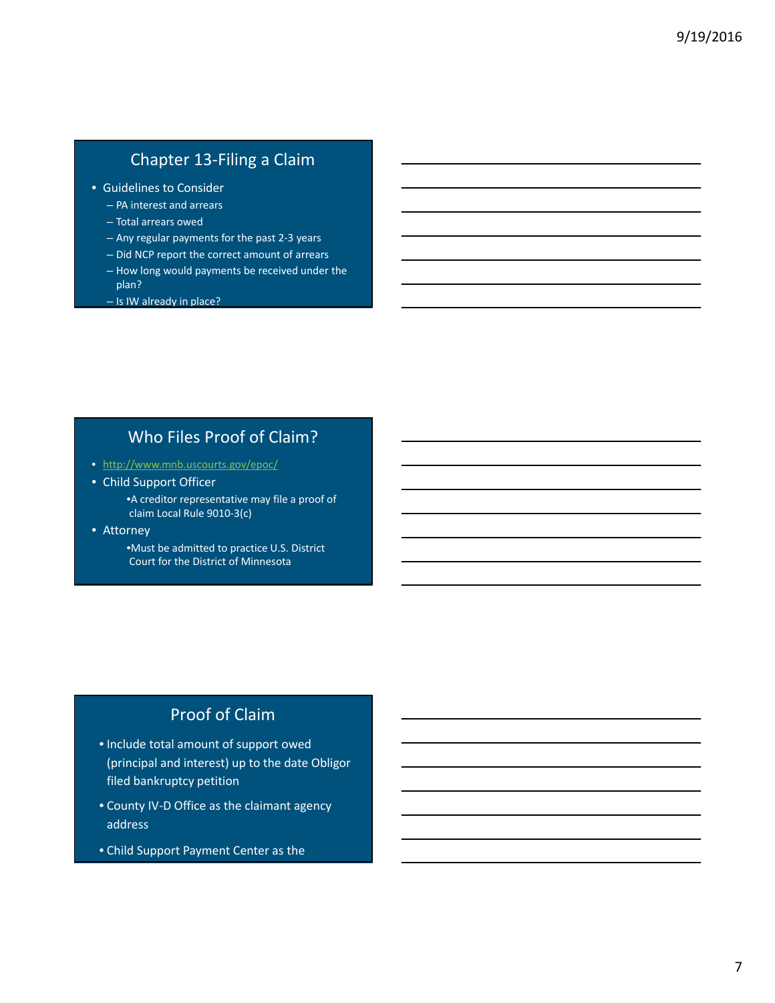# Chapter 13-Filing a Claim

- Guidelines to Consider
	- PA interest and arrears
	- Total arrears owed
	- Any regular payments for the past 2-3 years
	- Did NCP report the correct amount of arrears
	- How long would payments be received under the plan?
	- Is IW already in place?

# Who Files Proof of Claim?

- http://www.mnb.uscourts.gov/epoc/
- Child Support Officer
	- •A creditor representative may file a proof of claim Local Rule 9010-3(c)
- Attorney
	- •Must be admitted to practice U.S. District Court for the District of Minnesota

### Proof of Claim

- Include total amount of support owed (principal and interest) up to the date Obligor filed bankruptcy petition
- County IV-D Office as the claimant agency address
- Child Support Payment Center as the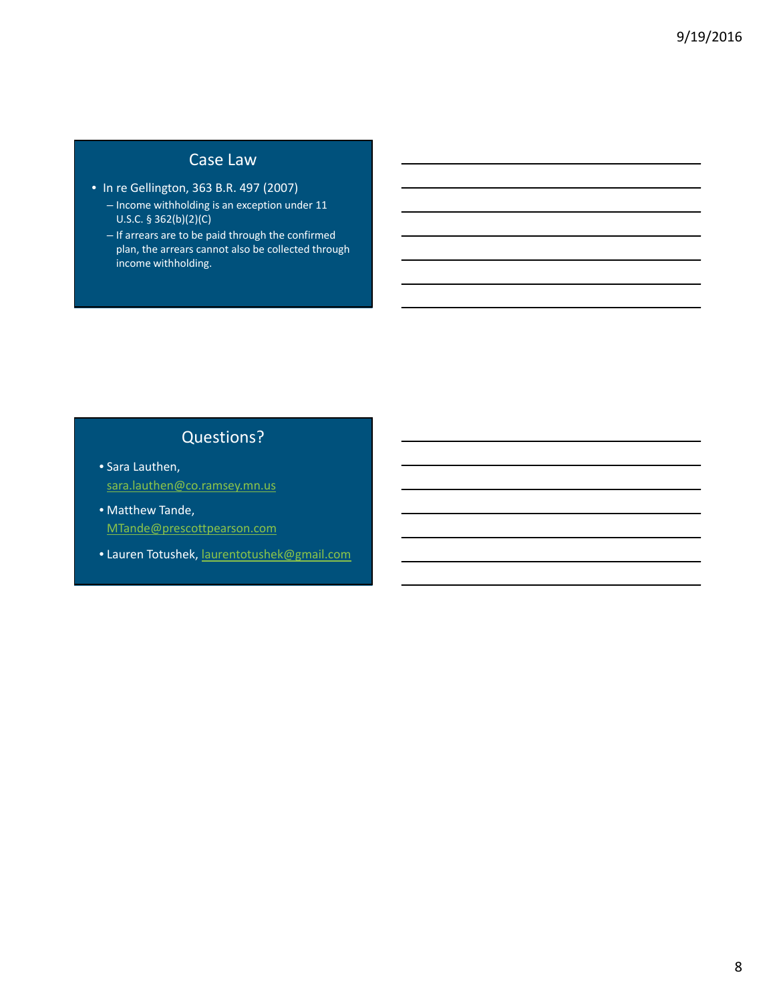# Case Law

- In re Gellington, 363 B.R. 497 (2007)
	- Income withholding is an exception under 11 U.S.C. § 362(b)(2)(C)
	- If arrears are to be paid through the confirmed plan, the arrears cannot also be collected through income withholding.

# Questions?

- Sara Lauthen, sara.lauthen@co.ramsey.mn.us
- Matthew Tande, MTande@prescottpearson.com
- Lauren Totushek, laurentotushek@gmail.com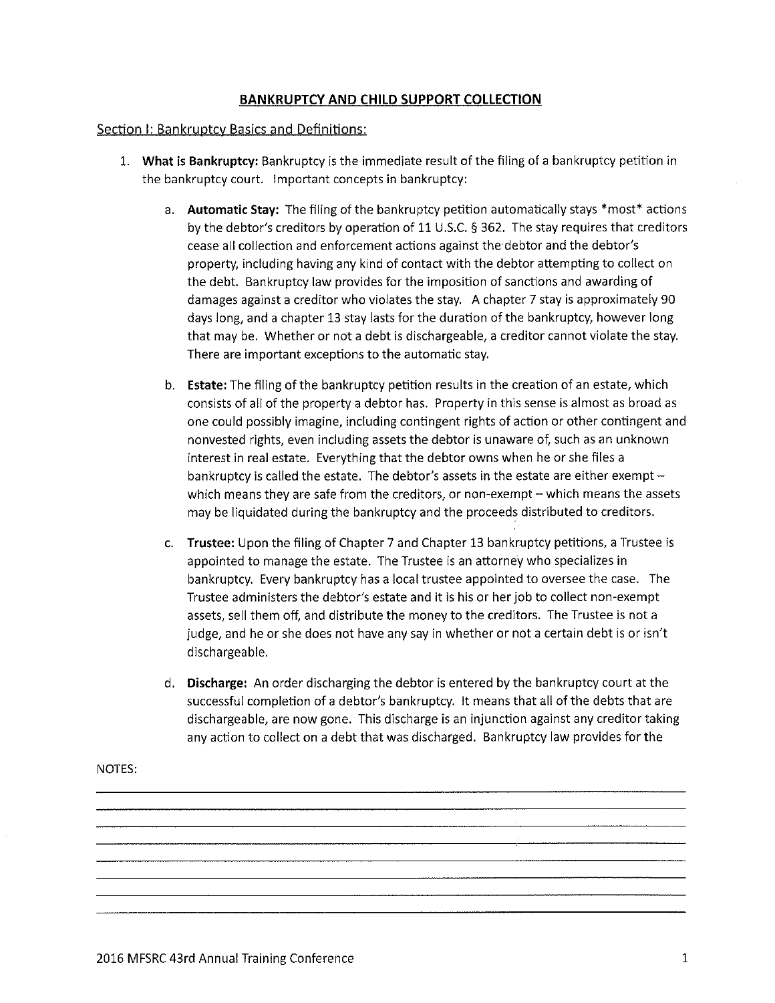### **BANKRUPTCY AND CHILD SUPPORT COLLECTION**

#### Section I: Bankruptcy Basics and Definitions:

- 1. What is Bankruptcy: Bankruptcy is the immediate result of the filing of a bankruptcy petition in the bankruptcy court. Important concepts in bankruptcy:
	- a. Automatic Stay: The filing of the bankruptcy petition automatically stays \*most\* actions by the debtor's creditors by operation of 11 U.S.C. § 362. The stay requires that creditors cease all collection and enforcement actions against the debtor and the debtor's property, including having any kind of contact with the debtor attempting to collect on the debt. Bankruptcy law provides for the imposition of sanctions and awarding of damages against a creditor who violates the stay. A chapter 7 stay is approximately 90 days long, and a chapter 13 stay lasts for the duration of the bankruptcy, however long that may be. Whether or not a debt is dischargeable, a creditor cannot violate the stay. There are important exceptions to the automatic stay.
	- b. Estate: The filing of the bankruptcy petition results in the creation of an estate, which consists of all of the property a debtor has. Property in this sense is almost as broad as one could possibly imagine, including contingent rights of action or other contingent and nonvested rights, even including assets the debtor is unaware of, such as an unknown interest in real estate. Everything that the debtor owns when he or she files a bankruptcy is called the estate. The debtor's assets in the estate are either exempt which means they are safe from the creditors, or non-exempt - which means the assets may be liquidated during the bankruptcy and the proceeds distributed to creditors.
	- c. Trustee: Upon the filing of Chapter 7 and Chapter 13 bankruptcy petitions, a Trustee is appointed to manage the estate. The Trustee is an attorney who specializes in bankruptcy. Every bankruptcy has a local trustee appointed to oversee the case. The Trustee administers the debtor's estate and it is his or her job to collect non-exempt assets, sell them off, and distribute the money to the creditors. The Trustee is not a judge, and he or she does not have any say in whether or not a certain debt is or isn't dischargeable.
	- d. Discharge: An order discharging the debtor is entered by the bankruptcy court at the successful completion of a debtor's bankruptcy. It means that all of the debts that are dischargeable, are now gone. This discharge is an injunction against any creditor taking any action to collect on a debt that was discharged. Bankruptcy law provides for the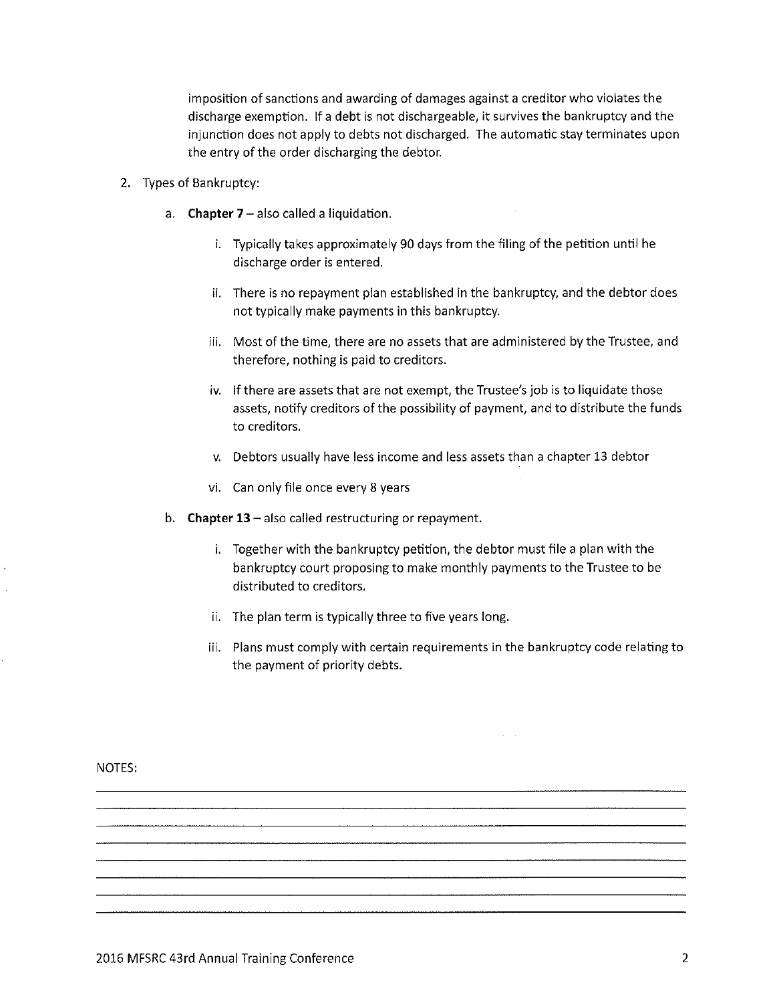imposition of sanctions and awarding of damages against a creditor who violates the discharge exemption. If a debt is not dischargeable, it survives the bankruptcy and the injunction does not apply to debts not discharged. The automatic stay terminates upon the entry of the order discharging the debtor.

- 2. Types of Bankruptcy:
	- a. Chapter  $7$  also called a liquidation.
		- i. Typically takes approximately 90 days from the filing of the petition until he discharge order is entered.
		- ii. There is no repayment plan established in the bankruptcy, and the debtor does not typically make payments in this bankruptcy.
		- iii. Most of the time, there are no assets that are administered by the Trustee, and therefore, nothing is paid to creditors.
		- iv. If there are assets that are not exempt, the Trustee's job is to liquidate those assets, notify creditors of the possibility of payment, and to distribute the funds to creditors.
		- v. Debtors usually have less income and less assets than a chapter 13 debtor
		- vi. Can only file once every 8 years
	- b. Chapter  $13$  also called restructuring or repayment.
		- i. Together with the bankruptcy petition, the debtor must file a plan with the bankruptcy court proposing to make monthly payments to the Trustee to be distributed to creditors.
		- ii. The plan term is typically three to five years long.
		- iii. Plans must comply with certain requirements in the bankruptcy code relating to the payment of priority debts.

 $\Delta \sim 10^7$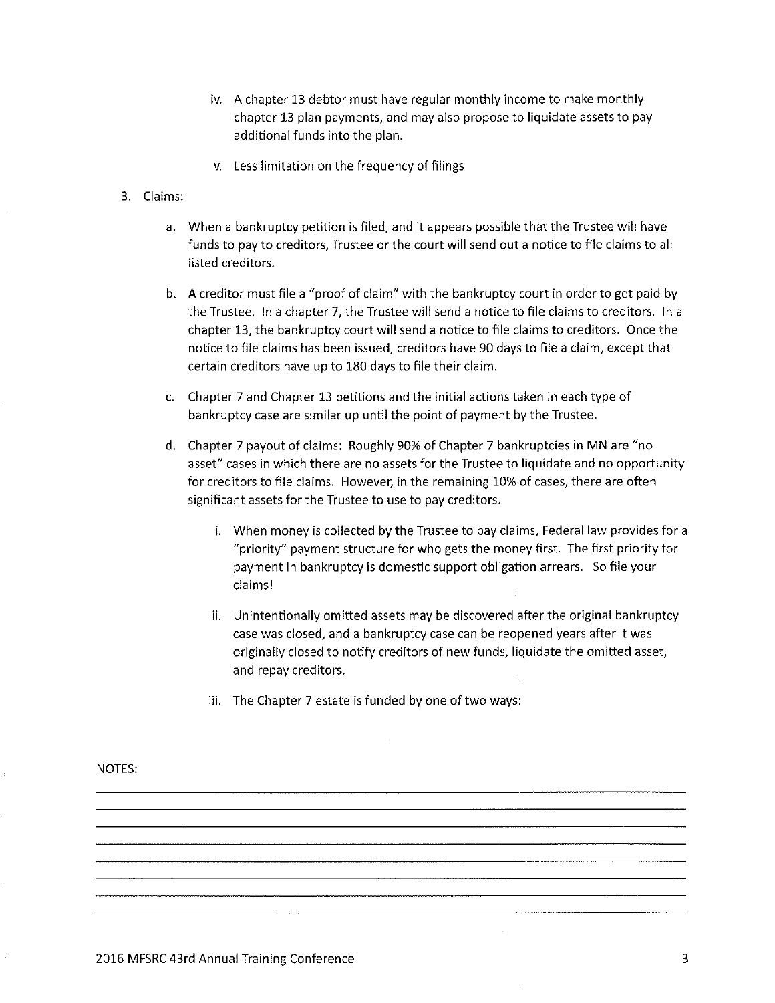- iv. A chapter 13 debtor must have regular monthly income to make monthly chapter 13 plan payments, and may also propose to liquidate assets to pay additional funds into the plan.
- v. Less limitation on the frequency of filings
- 3. Claims:
	- a. When a bankruptcy petition is filed, and it appears possible that the Trustee will have funds to pay to creditors, Trustee or the court will send out a notice to file claims to all listed creditors.
	- b. A creditor must file a "proof of claim" with the bankruptcy court in order to get paid by the Trustee. In a chapter 7, the Trustee will send a notice to file claims to creditors. In a chapter 13, the bankruptcy court will send a notice to file claims to creditors. Once the notice to file claims has been issued, creditors have 90 days to file a claim, except that certain creditors have up to 180 days to file their claim.
	- c. Chapter 7 and Chapter 13 petitions and the initial actions taken in each type of bankruptcy case are similar up until the point of payment by the Trustee.
	- d. Chapter 7 payout of claims: Roughly 90% of Chapter 7 bankruptcies in MN are "no asset" cases in which there are no assets for the Trustee to liquidate and no opportunity for creditors to file claims. However, in the remaining 10% of cases, there are often significant assets for the Trustee to use to pay creditors.
		- i. When money is collected by the Trustee to pay claims, Federal law provides for a "priority" payment structure for who gets the money first. The first priority for payment in bankruptcy is domestic support obligation arrears. So file your claims!
		- ii. Unintentionally omitted assets may be discovered after the original bankruptcy case was closed, and a bankruptcy case can be reopened years after it was originally closed to notify creditors of new funds, liquidate the omitted asset, and repay creditors.
		- iii. The Chapter 7 estate is funded by one of two ways: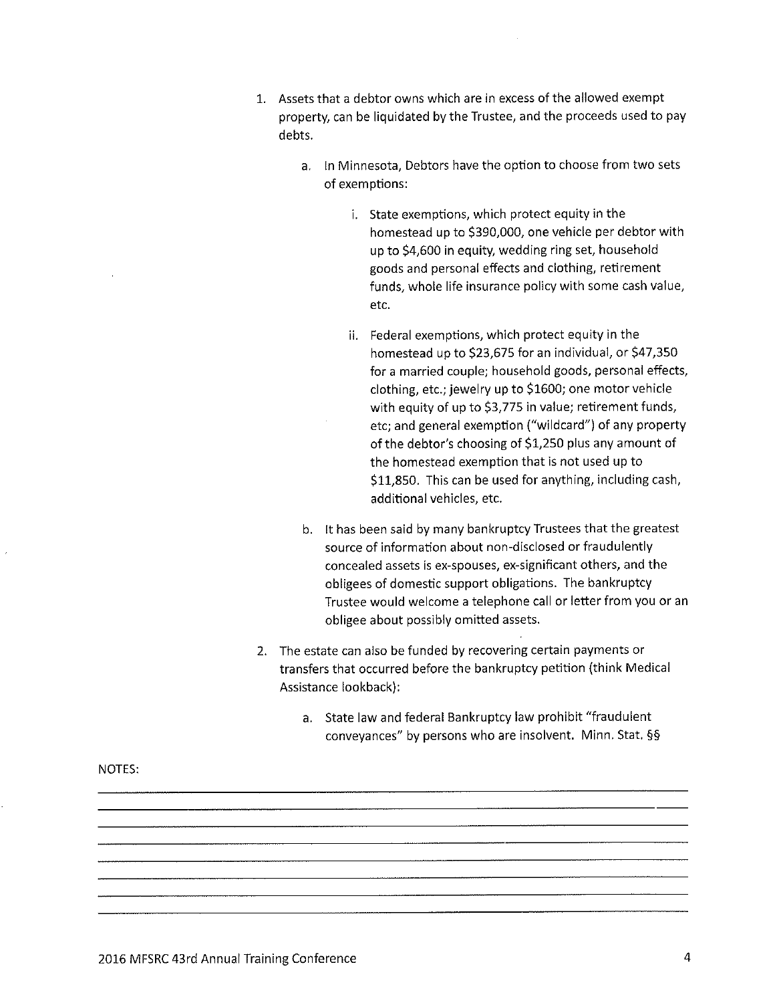- 1. Assets that a debtor owns which are in excess of the allowed exempt property, can be liquidated by the Trustee, and the proceeds used to pay debts.
	- a. In Minnesota, Debtors have the option to choose from two sets of exemptions:
		- i. State exemptions, which protect equity in the homestead up to \$390,000, one vehicle per debtor with up to \$4,600 in equity, wedding ring set, household goods and personal effects and clothing, retirement funds, whole life insurance policy with some cash value, etc.
		- ii. Federal exemptions, which protect equity in the homestead up to \$23,675 for an individual, or \$47,350 for a married couple; household goods, personal effects, clothing, etc.; jewelry up to \$1600; one motor vehicle with equity of up to \$3,775 in value; retirement funds, etc; and general exemption ("wildcard") of any property of the debtor's choosing of \$1,250 plus any amount of the homestead exemption that is not used up to \$11,850. This can be used for anything, including cash, additional vehicles, etc.
	- b. It has been said by many bankruptcy Trustees that the greatest source of information about non-disclosed or fraudulently concealed assets is ex-spouses, ex-significant others, and the obligees of domestic support obligations. The bankruptcy Trustee would welcome a telephone call or letter from you or an obligee about possibly omitted assets.
- 2. The estate can also be funded by recovering certain payments or transfers that occurred before the bankruptcy petition (think Medical Assistance lookback):
	- a. State law and federal Bankruptcy law prohibit "fraudulent conveyances" by persons who are insolvent. Minn. Stat. §§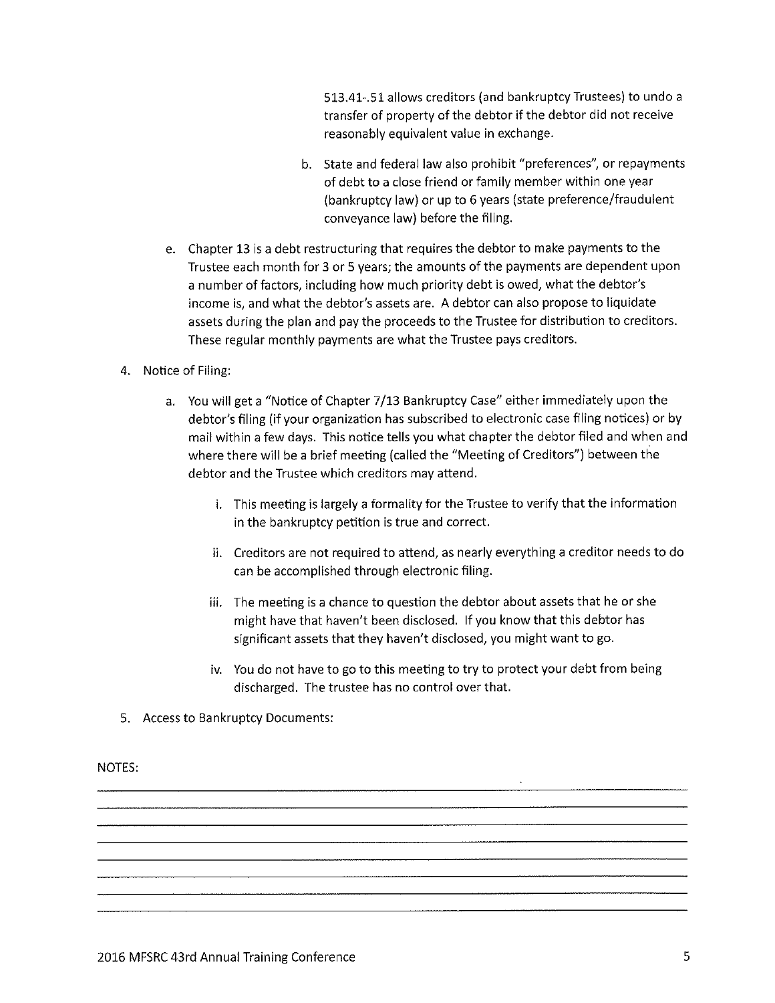513.41 - 51 allows creditors (and bankruptcy Trustees) to undo a transfer of property of the debtor if the debtor did not receive reasonably equivalent value in exchange.

- b. State and federal law also prohibit "preferences", or repayments of debt to a close friend or family member within one year (bankruptcy law) or up to 6 years (state preference/fraudulent conveyance law) before the filing.
- e. Chapter 13 is a debt restructuring that requires the debtor to make payments to the Trustee each month for 3 or 5 years; the amounts of the payments are dependent upon a number of factors, including how much priority debt is owed, what the debtor's income is, and what the debtor's assets are. A debtor can also propose to liquidate assets during the plan and pay the proceeds to the Trustee for distribution to creditors. These regular monthly payments are what the Trustee pays creditors.
- 4. Notice of Filing:
	- a. You will get a "Notice of Chapter 7/13 Bankruptcy Case" either immediately upon the debtor's filing (if your organization has subscribed to electronic case filing notices) or by mail within a few days. This notice tells you what chapter the debtor filed and when and where there will be a brief meeting (called the "Meeting of Creditors") between the debtor and the Trustee which creditors may attend.
		- i. This meeting is largely a formality for the Trustee to verify that the information in the bankruptcy petition is true and correct.
		- ii. Creditors are not required to attend, as nearly everything a creditor needs to do can be accomplished through electronic filing.
		- iii. The meeting is a chance to question the debtor about assets that he or she might have that haven't been disclosed. If you know that this debtor has significant assets that they haven't disclosed, you might want to go.
		- iv. You do not have to go to this meeting to try to protect your debt from being discharged. The trustee has no control over that.
- 5. Access to Bankruptcy Documents: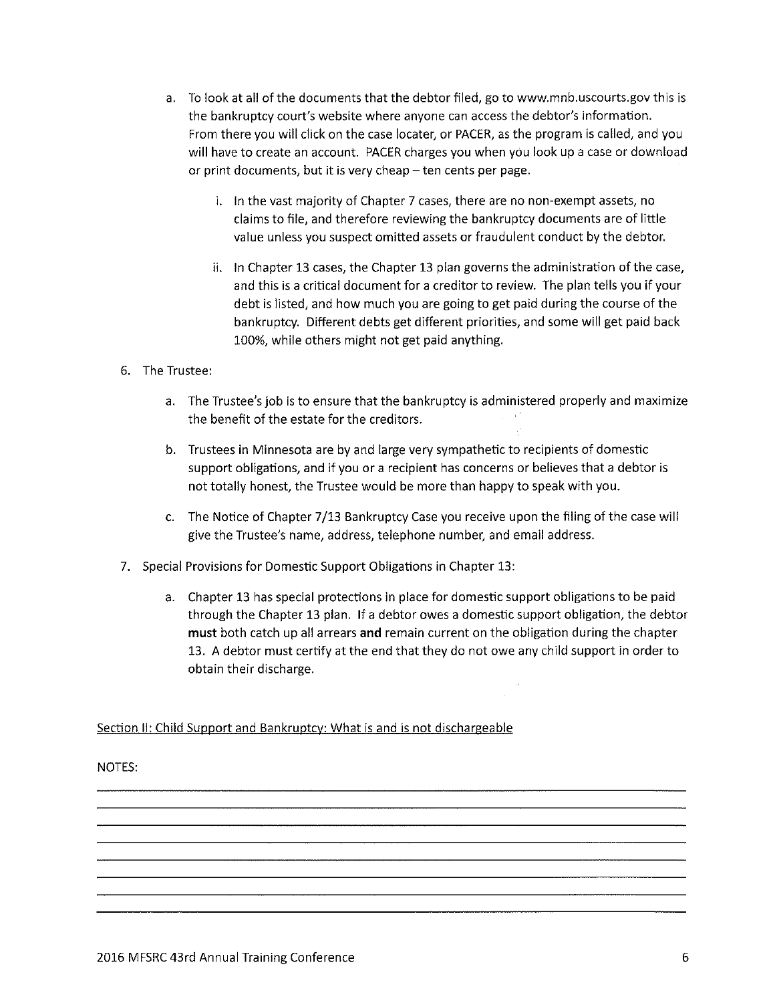- a. To look at all of the documents that the debtor filed, go to www.mnb.uscourts.gov this is the bankruptcy court's website where anyone can access the debtor's information. From there you will click on the case locater, or PACER, as the program is called, and you will have to create an account. PACER charges you when you look up a case or download or print documents, but it is very cheap – ten cents per page.
	- i. In the vast majority of Chapter 7 cases, there are no non-exempt assets, no claims to file, and therefore reviewing the bankruptcy documents are of little value unless you suspect omitted assets or fraudulent conduct by the debtor.
	- ii. In Chapter 13 cases, the Chapter 13 plan governs the administration of the case, and this is a critical document for a creditor to review. The plan tells you if your debt is listed, and how much you are going to get paid during the course of the bankruptcy. Different debts get different priorities, and some will get paid back 100%, while others might not get paid anything.

### 6. The Trustee:

- a. The Trustee's job is to ensure that the bankruptcy is administered properly and maximize the benefit of the estate for the creditors.
- b. Trustees in Minnesota are by and large very sympathetic to recipients of domestic support obligations, and if you or a recipient has concerns or believes that a debtor is not totally honest, the Trustee would be more than happy to speak with you.
- c. The Notice of Chapter 7/13 Bankruptcy Case you receive upon the filing of the case will give the Trustee's name, address, telephone number, and email address.
- 7. Special Provisions for Domestic Support Obligations in Chapter 13:
	- a. Chapter 13 has special protections in place for domestic support obligations to be paid through the Chapter 13 plan. If a debtor owes a domestic support obligation, the debtor must both catch up all arrears and remain current on the obligation during the chapter 13. A debtor must certify at the end that they do not owe any child support in order to obtain their discharge.

### Section II: Child Support and Bankruptcy: What is and is not dischargeable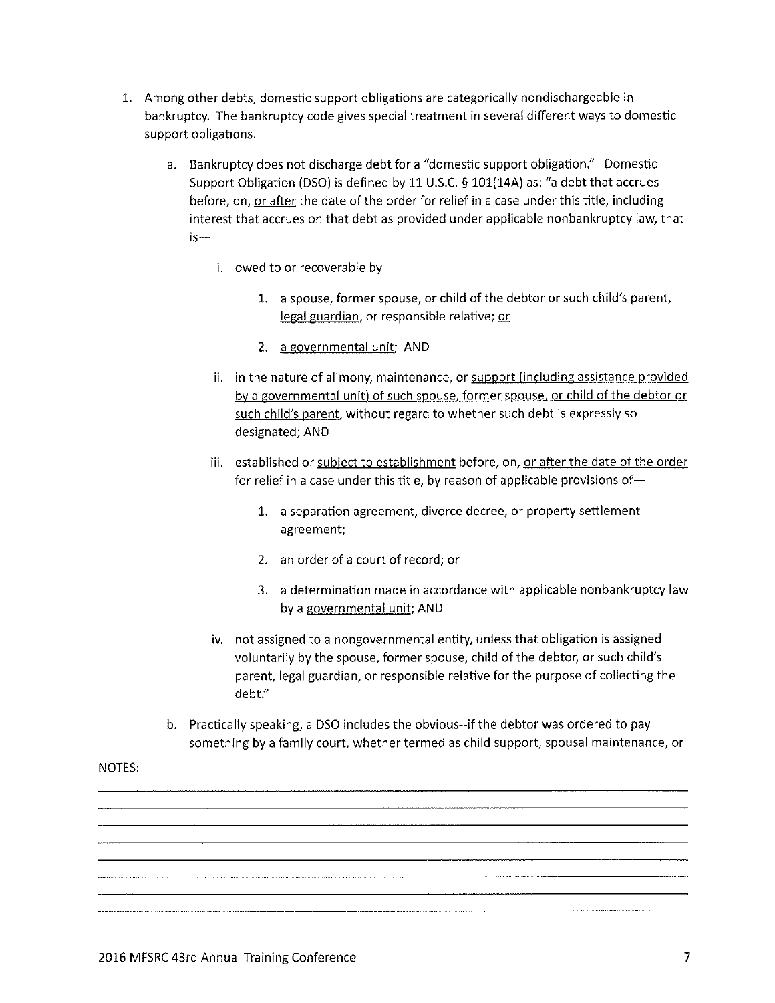- 1. Among other debts, domestic support obligations are categorically nondischargeable in bankruptcy. The bankruptcy code gives special treatment in several different ways to domestic support obligations.
	- a. Bankruptcy does not discharge debt for a "domestic support obligation." Domestic Support Obligation (DSO) is defined by 11 U.S.C. § 101(14A) as: "a debt that accrues before, on, or after the date of the order for relief in a case under this title, including interest that accrues on that debt as provided under applicable nonbankruptcy law, that  $is$ 
		- i. owed to or recoverable by
			- 1. a spouse, former spouse, or child of the debtor or such child's parent, legal guardian, or responsible relative; or
			- 2. a governmental unit; AND
		- ii. in the nature of alimony, maintenance, or support (including assistance provided by a governmental unit) of such spouse, former spouse, or child of the debtor or such child's parent, without regard to whether such debt is expressly so designated; AND
		- iii. established or subject to establishment before, on, or after the date of the order for relief in a case under this title, by reason of applicable provisions of-
			- 1. a separation agreement, divorce decree, or property settlement agreement;
			- 2. an order of a court of record; or
			- 3. a determination made in accordance with applicable nonbankruptcy law by a governmental unit; AND
		- iv. not assigned to a nongovernmental entity, unless that obligation is assigned voluntarily by the spouse, former spouse, child of the debtor, or such child's parent, legal guardian, or responsible relative for the purpose of collecting the debt."
	- b. Practically speaking, a DSO includes the obvious--if the debtor was ordered to pay something by a family court, whether termed as child support, spousal maintenance, or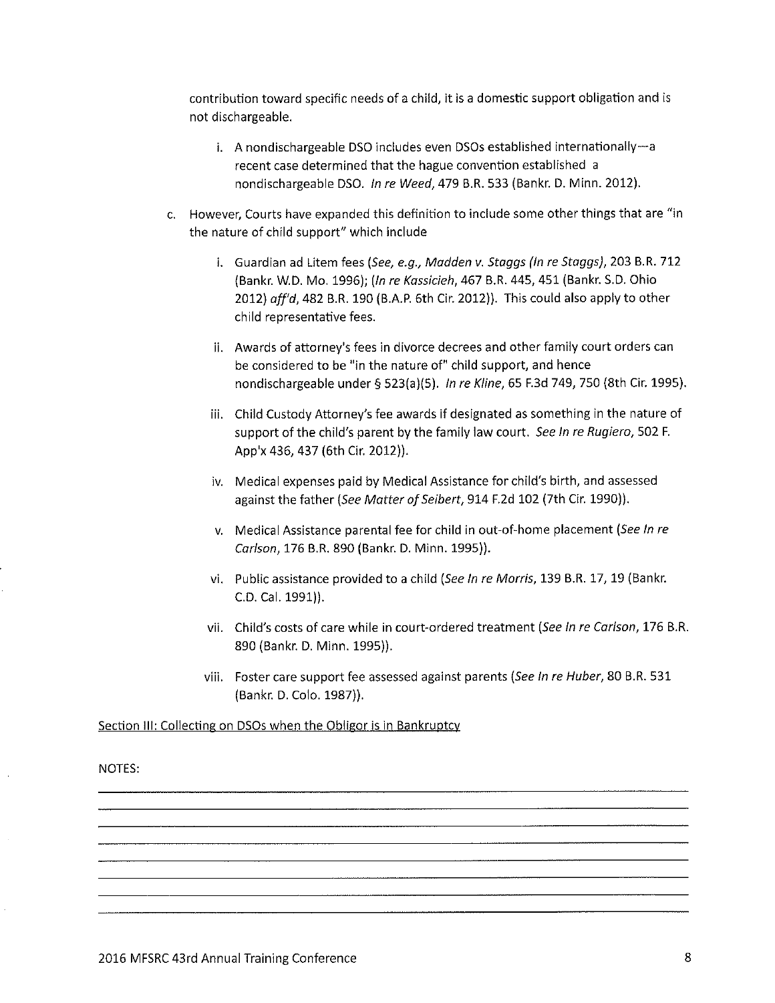contribution toward specific needs of a child, it is a domestic support obligation and is not dischargeable.

- i. A nondischargeable DSO includes even DSOs established internationally-a recent case determined that the hague convention established a nondischargeable DSO. In re Weed, 479 B.R. 533 (Bankr. D. Minn. 2012).
- c. However, Courts have expanded this definition to include some other things that are "in the nature of child support" which include
	- i. Guardian ad Litem fees (See, e.g., Madden v. Staggs (In re Staggs), 203 B.R. 712 (Bankr. W.D. Mo. 1996); (In re Kassicieh, 467 B.R. 445, 451 (Bankr. S.D. Ohio 2012) aff'd, 482 B.R. 190 (B.A.P. 6th Cir. 2012)). This could also apply to other child representative fees.
	- ii. Awards of attorney's fees in divorce decrees and other family court orders can be considered to be "in the nature of" child support, and hence nondischargeable under § 523(a)(5). In re Kline, 65 F.3d 749, 750 (8th Cir. 1995).
	- iii. Child Custody Attorney's fee awards if designated as something in the nature of support of the child's parent by the family law court. See In re Rugiero, 502 F. App'x 436, 437 (6th Cir. 2012)).
	- iv. Medical expenses paid by Medical Assistance for child's birth, and assessed against the father (See Matter of Seibert, 914 F.2d 102 (7th Cir. 1990)).
	- v. Medical Assistance parental fee for child in out-of-home placement (See In re Carlson, 176 B.R. 890 (Bankr. D. Minn. 1995)).
	- vi. Public assistance provided to a child (See In re Morris, 139 B.R. 17, 19 (Bankr. C.D. Cal. 1991)).
	- vii. Child's costs of care while in court-ordered treatment (See In re Carlson, 176 B.R. 890 (Bankr. D. Minn, 1995)).
	- viii. Foster care support fee assessed against parents (See In re Huber, 80 B.R. 531 (Bankr, D. Colo. 1987)).

#### Section III: Collecting on DSOs when the Obligor is in Bankruptcy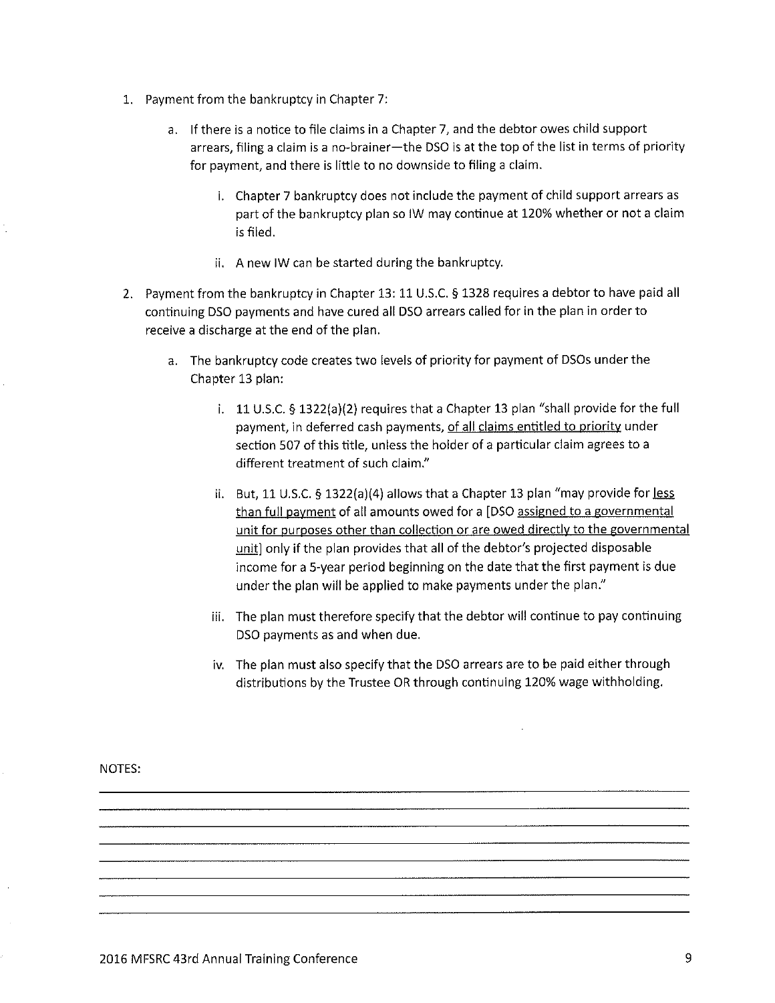- 1. Payment from the bankruptcy in Chapter 7:
	- a. If there is a notice to file claims in a Chapter 7, and the debtor owes child support arrears, filing a claim is a no-brainer-the DSO is at the top of the list in terms of priority for payment, and there is little to no downside to filing a claim.
		- i. Chapter 7 bankruptcy does not include the payment of child support arrears as part of the bankruptcy plan so IW may continue at 120% whether or not a claim is filed.
		- ii. A new IW can be started during the bankruptcy.
- 2. Payment from the bankruptcy in Chapter 13: 11 U.S.C. § 1328 requires a debtor to have paid all continuing DSO payments and have cured all DSO arrears called for in the plan in order to receive a discharge at the end of the plan.
	- a. The bankruptcy code creates two levels of priority for payment of DSOs under the Chapter 13 plan:
		- i. 11 U.S.C. § 1322(a)(2) requires that a Chapter 13 plan "shall provide for the full payment, in deferred cash payments, of all claims entitled to priority under section 507 of this title, unless the holder of a particular claim agrees to a different treatment of such claim."
		- ii. But, 11 U.S.C. § 1322(a)(4) allows that a Chapter 13 plan "may provide for less than full payment of all amounts owed for a [DSO assigned to a governmental unit for purposes other than collection or are owed directly to the governmental unit] only if the plan provides that all of the debtor's projected disposable income for a 5-year period beginning on the date that the first payment is due under the plan will be applied to make payments under the plan."
		- iii. The plan must therefore specify that the debtor will continue to pay continuing DSO payments as and when due.
		- iv. The plan must also specify that the DSO arrears are to be paid either through distributions by the Trustee OR through continuing 120% wage withholding.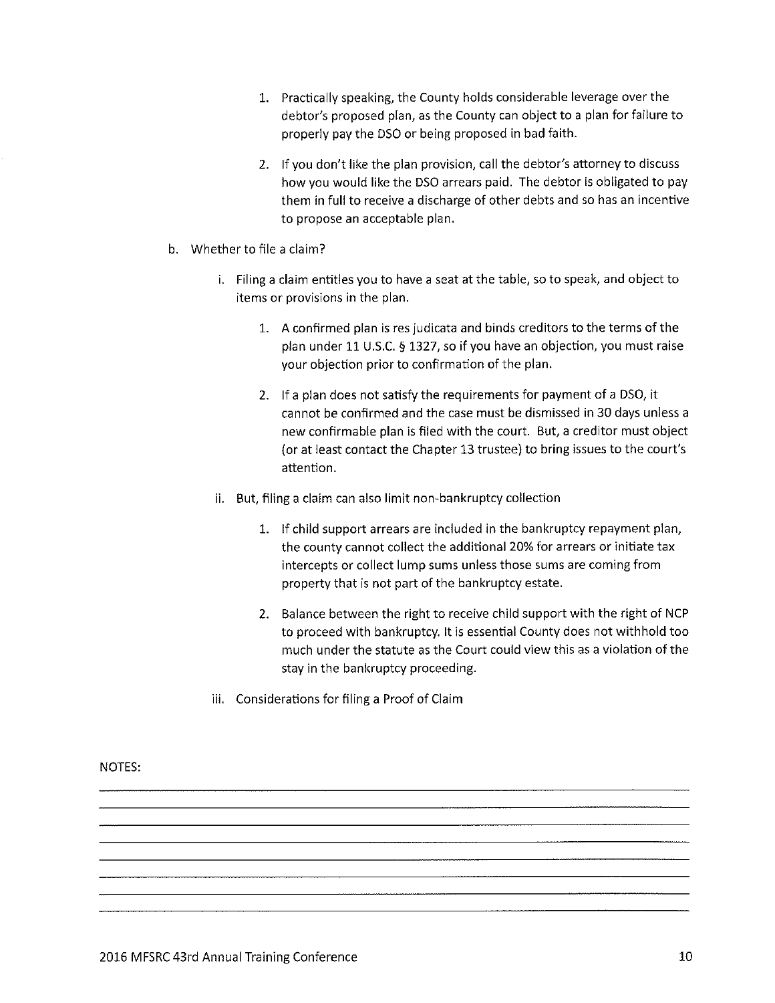- 1. Practically speaking, the County holds considerable leverage over the debtor's proposed plan, as the County can object to a plan for failure to properly pay the DSO or being proposed in bad faith.
- 2. If you don't like the plan provision, call the debtor's attorney to discuss how you would like the DSO arrears paid. The debtor is obligated to pay them in full to receive a discharge of other debts and so has an incentive to propose an acceptable plan.
- b. Whether to file a claim?
	- i. Filing a claim entitles you to have a seat at the table, so to speak, and object to items or provisions in the plan.
		- 1. A confirmed plan is res judicata and binds creditors to the terms of the plan under 11 U.S.C. § 1327, so if you have an objection, you must raise your objection prior to confirmation of the plan.
		- 2. If a plan does not satisfy the requirements for payment of a DSO, it cannot be confirmed and the case must be dismissed in 30 days unless a new confirmable plan is filed with the court. But, a creditor must object (or at least contact the Chapter 13 trustee) to bring issues to the court's attention.
	- ii. But, filing a claim can also limit non-bankruptcy collection
		- 1. If child support arrears are included in the bankruptcy repayment plan, the county cannot collect the additional 20% for arrears or initiate tax intercepts or collect lump sums unless those sums are coming from property that is not part of the bankruptcy estate.
		- 2. Balance between the right to receive child support with the right of NCP to proceed with bankruptcy. It is essential County does not withhold too much under the statute as the Court could view this as a violation of the stay in the bankruptcy proceeding.
	- iii. Considerations for filing a Proof of Claim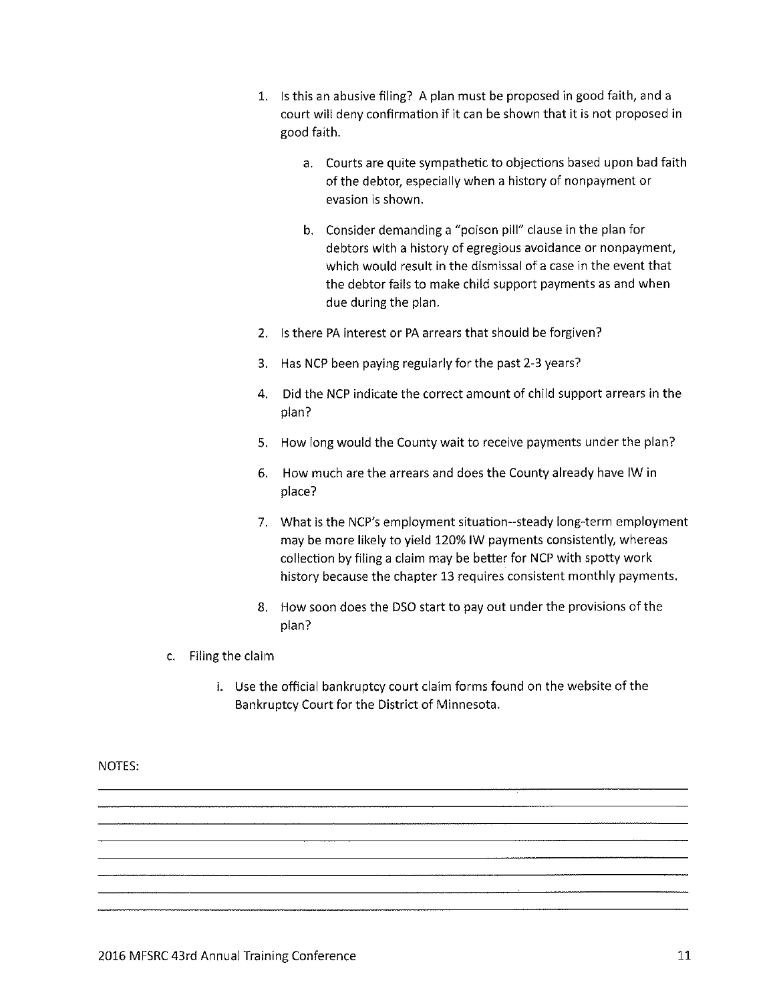- 1. Is this an abusive filing? A plan must be proposed in good faith, and a court will deny confirmation if it can be shown that it is not proposed in good faith.
	- a. Courts are quite sympathetic to objections based upon bad faith of the debtor, especially when a history of nonpayment or evasion is shown.
	- b. Consider demanding a "poison pill" clause in the plan for debtors with a history of egregious avoidance or nonpayment, which would result in the dismissal of a case in the event that the debtor fails to make child support payments as and when due during the plan.
- 2. Is there PA interest or PA arrears that should be forgiven?
- 3. Has NCP been paying regularly for the past 2-3 years?
- 4. Did the NCP indicate the correct amount of child support arrears in the plan?
- 5. How long would the County wait to receive payments under the plan?
- 6. How much are the arrears and does the County already have IW in place?
- 7. What is the NCP's employment situation--steady long-term employment may be more likely to yield 120% IW payments consistently, whereas collection by filing a claim may be better for NCP with spotty work history because the chapter 13 requires consistent monthly payments.
- 8. How soon does the DSO start to pay out under the provisions of the plan?
- c. Filing the claim
	- i. Use the official bankruptcy court claim forms found on the website of the Bankruptcy Court for the District of Minnesota.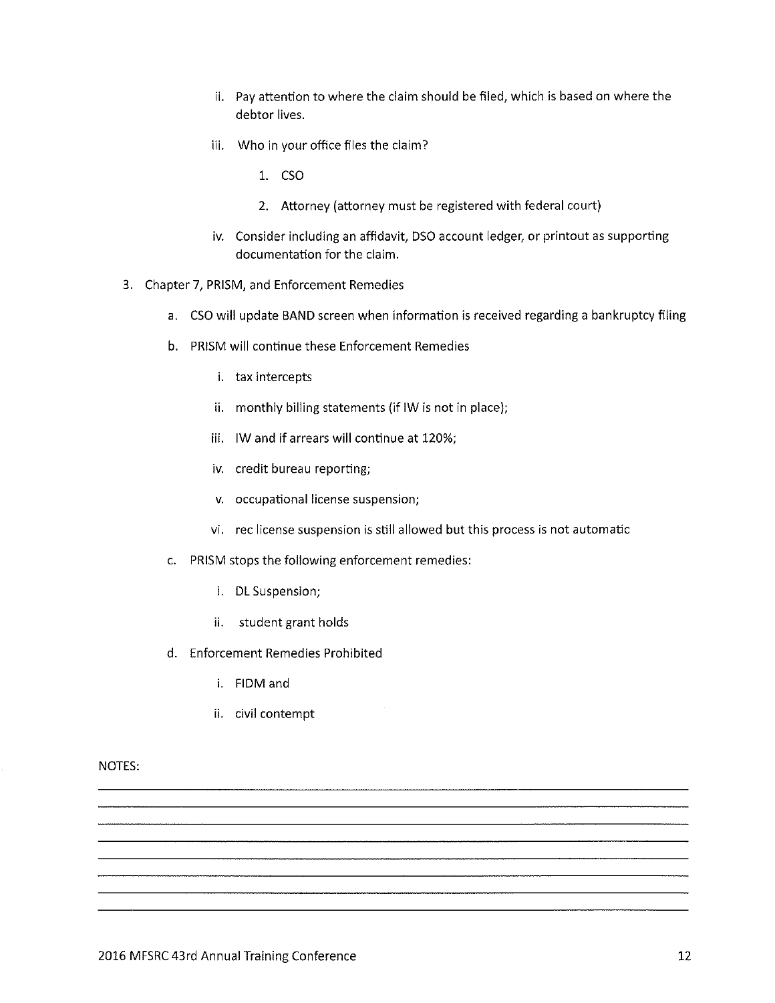- ii. Pay attention to where the claim should be filed, which is based on where the debtor lives.
- iii. Who in your office files the claim?
	- 1. CSO
	- 2. Attorney (attorney must be registered with federal court)
- iv. Consider including an affidavit, DSO account ledger, or printout as supporting documentation for the claim.
- 3. Chapter 7, PRISM, and Enforcement Remedies
	- a. CSO will update BAND screen when information is received regarding a bankruptcy filing
	- b. PRISM will continue these Enforcement Remedies
		- i. tax intercepts
		- ii. monthly billing statements (if IW is not in place);
		- iii. IW and if arrears will continue at 120%;
		- iv. credit bureau reporting;
		- v. occupational license suspension;
		- vi. rec license suspension is still allowed but this process is not automatic
	- c. PRISM stops the following enforcement remedies:
		- i. DL Suspension;
		- ii. student grant holds
	- d. Enforcement Remedies Prohibited
		- i. FIDM and
		- ii. civil contempt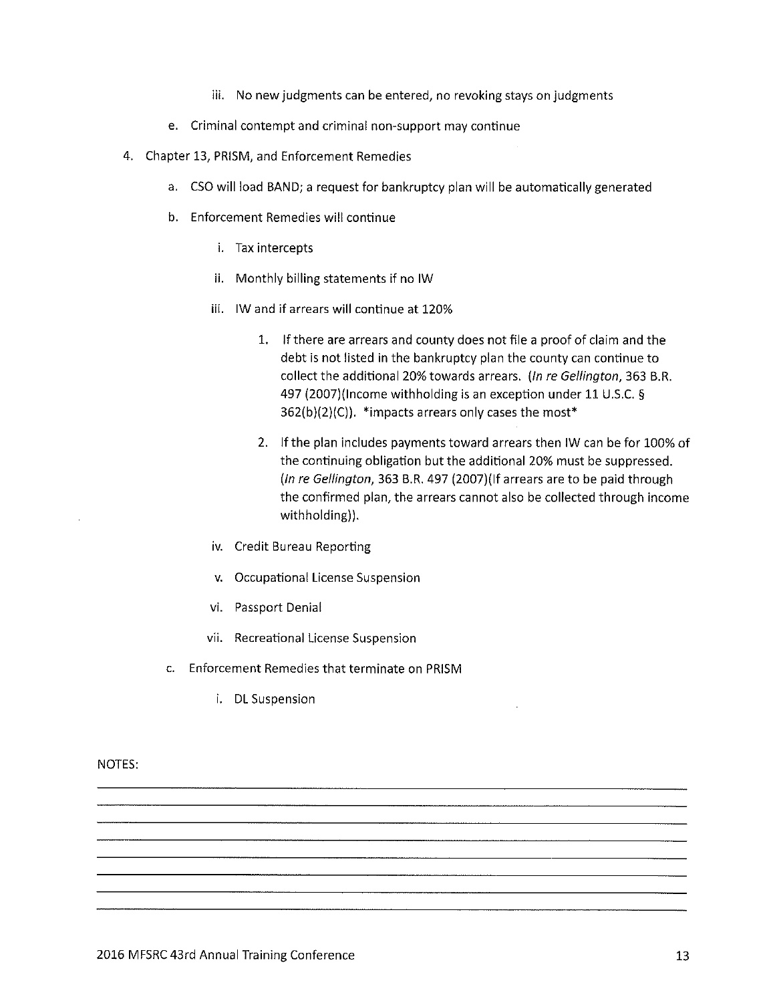- iii. No new judgments can be entered, no revoking stays on judgments
- e. Criminal contempt and criminal non-support may continue
- 4. Chapter 13, PRISM, and Enforcement Remedies
	- a. CSO will load BAND; a request for bankruptcy plan will be automatically generated
	- b. Enforcement Remedies will continue
		- i. Tax intercepts
		- ii. Monthly billing statements if no IW
		- iii. IW and if arrears will continue at 120%
			- 1. If there are arrears and county does not file a proof of claim and the debt is not listed in the bankruptcy plan the county can continue to collect the additional 20% towards arrears. (In re Gellington, 363 B.R. 497 (2007)(Income withholding is an exception under 11 U.S.C. § 362(b)(2)(C)). \*impacts arrears only cases the most\*
			- 2. If the plan includes payments toward arrears then IW can be for 100% of the continuing obligation but the additional 20% must be suppressed. (In re Gellington, 363 B.R. 497 (2007) (If arrears are to be paid through the confirmed plan, the arrears cannot also be collected through income withholding)).
		- iv. Credit Bureau Reporting
		- v. Occupational License Suspension
		- vi. Passport Denial
		- vii. Recreational License Suspension
	- c. Enforcement Remedies that terminate on PRISM
		- i. DL Suspension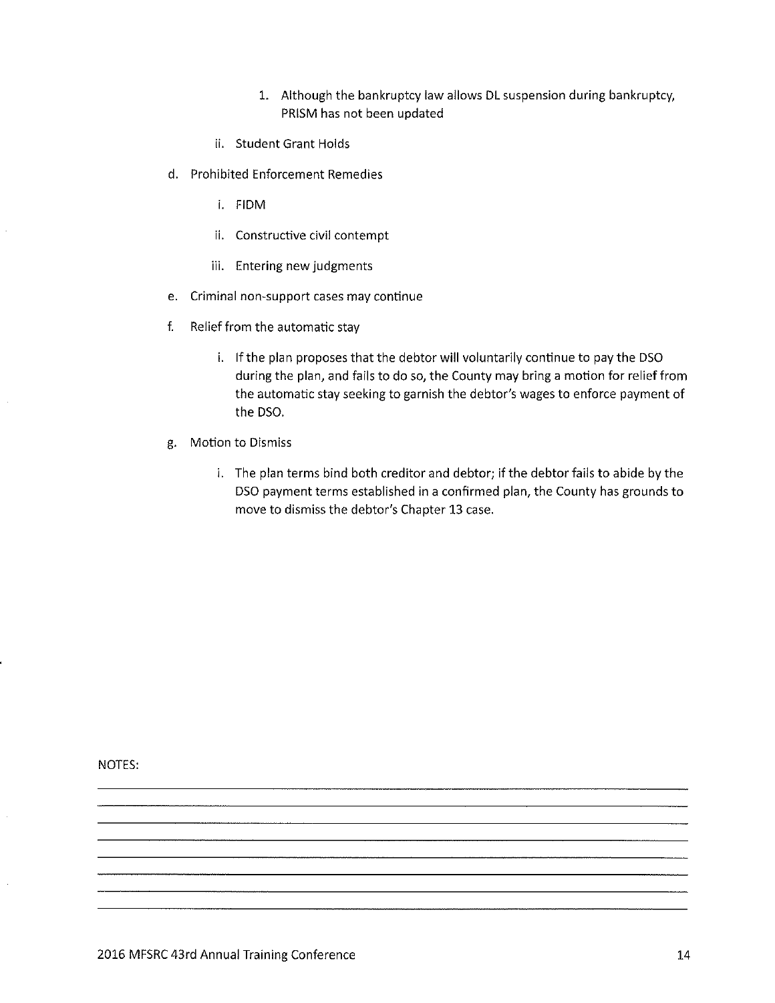- 1. Although the bankruptcy law allows DL suspension during bankruptcy, PRISM has not been updated
- ii. Student Grant Holds
- d. Prohibited Enforcement Remedies
	- i. FIDM
	- ii. Constructive civil contempt
	- iii. Entering new judgments
- e. Criminal non-support cases may continue
- f. Relief from the automatic stay
	- i. If the plan proposes that the debtor will voluntarily continue to pay the DSO during the plan, and fails to do so, the County may bring a motion for relief from the automatic stay seeking to garnish the debtor's wages to enforce payment of the DSO.
- g. Motion to Dismiss
	- i. The plan terms bind both creditor and debtor; if the debtor fails to abide by the DSO payment terms established in a confirmed plan, the County has grounds to move to dismiss the debtor's Chapter 13 case.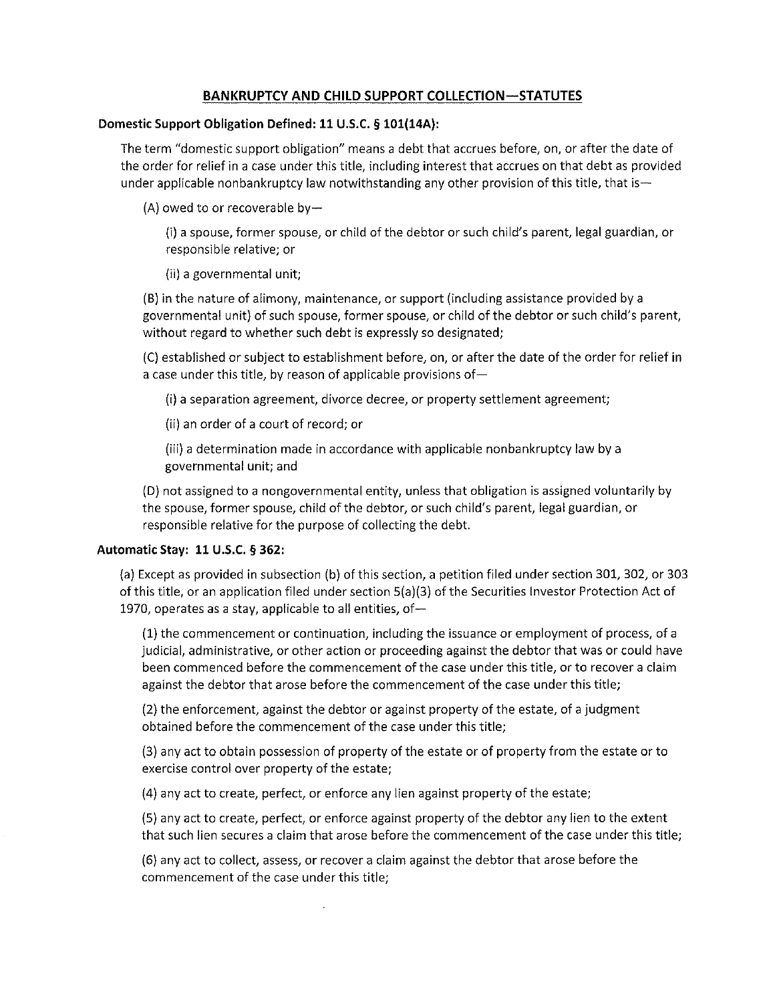#### **BANKRUPTCY AND CHILD SUPPORT COLLECTION-STATUTES**

#### Domestic Support Obligation Defined: 11 U.S.C. § 101(14A):

The term "domestic support obligation" means a debt that accrues before, on, or after the date of the order for relief in a case under this title, including interest that accrues on that debt as provided under applicable nonbankruptcy law notwithstanding any other provision of this title, that is—

(A) owed to or recoverable by-

(i) a spouse, former spouse, or child of the debtor or such child's parent, legal guardian, or responsible relative; or

(ii) a governmental unit;

(B) in the nature of alimony, maintenance, or support (including assistance provided by a governmental unit) of such spouse, former spouse, or child of the debtor or such child's parent, without regard to whether such debt is expressly so designated;

(C) established or subject to establishment before, on, or after the date of the order for relief in a case under this title, by reason of applicable provisions of-

(i) a separation agreement, divorce decree, or property settlement agreement;

(ii) an order of a court of record; or

(iii) a determination made in accordance with applicable nonbankruptcy law by a governmental unit; and

(D) not assigned to a nongovernmental entity, unless that obligation is assigned voluntarily by the spouse, former spouse, child of the debtor, or such child's parent, legal guardian, or responsible relative for the purpose of collecting the debt.

#### Automatic Stay: 11 U.S.C. § 362:

(a) Except as provided in subsection (b) of this section, a petition filed under section 301, 302, or 303 of this title, or an application filed under section 5(a)(3) of the Securities Investor Protection Act of 1970, operates as a stay, applicable to all entities, of-

(1) the commencement or continuation, including the issuance or employment of process, of a judicial, administrative, or other action or proceeding against the debtor that was or could have been commenced before the commencement of the case under this title, or to recover a claim against the debtor that arose before the commencement of the case under this title;

(2) the enforcement, against the debtor or against property of the estate, of a judgment obtained before the commencement of the case under this title;

(3) any act to obtain possession of property of the estate or of property from the estate or to exercise control over property of the estate;

(4) any act to create, perfect, or enforce any lien against property of the estate;

(5) any act to create, perfect, or enforce against property of the debtor any lien to the extent that such lien secures a claim that arose before the commencement of the case under this title;

(6) any act to collect, assess, or recover a claim against the debtor that arose before the commencement of the case under this title;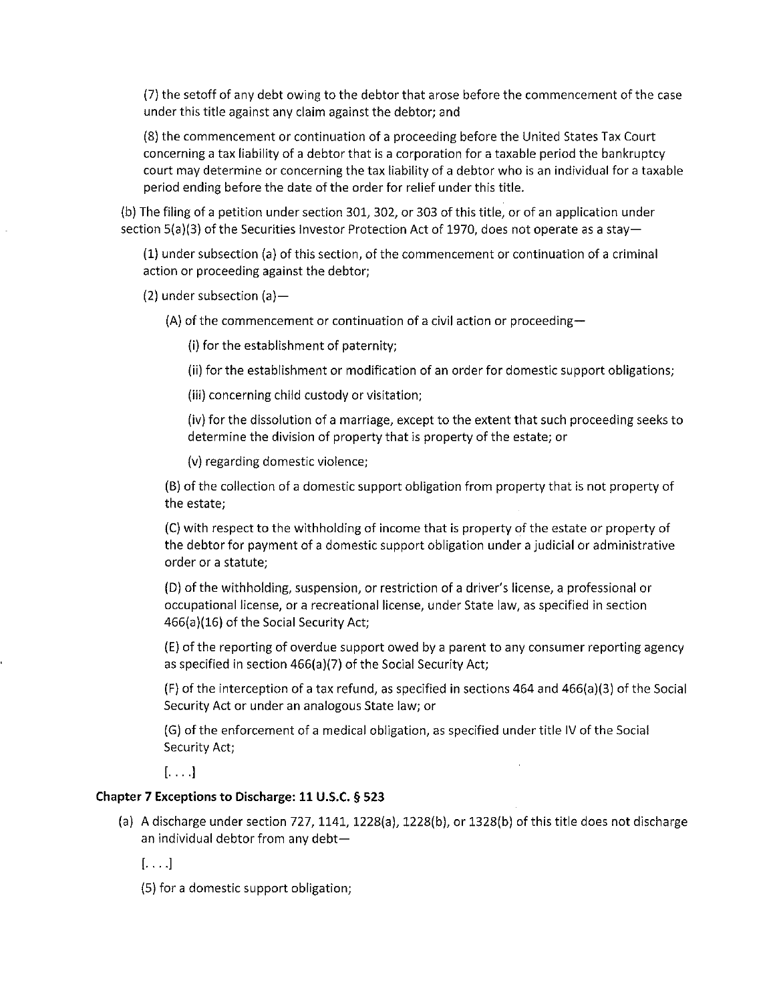(7) the setoff of any debt owing to the debtor that arose before the commencement of the case under this title against any claim against the debtor; and

(8) the commencement or continuation of a proceeding before the United States Tax Court concerning a tax liability of a debtor that is a corporation for a taxable period the bankruptcy court may determine or concerning the tax liability of a debtor who is an individual for a taxable period ending before the date of the order for relief under this title.

(b) The filing of a petition under section 301, 302, or 303 of this title, or of an application under section  $5(a)(3)$  of the Securities Investor Protection Act of 1970, does not operate as a stay-

(1) under subsection (a) of this section, of the commencement or continuation of a criminal action or proceeding against the debtor;

 $(2)$  under subsection  $(a)$ —

(A) of the commencement or continuation of a civil action or proceeding-

(i) for the establishment of paternity;

(ii) for the establishment or modification of an order for domestic support obligations;

(iii) concerning child custody or visitation;

(iv) for the dissolution of a marriage, except to the extent that such proceeding seeks to determine the division of property that is property of the estate; or

(v) regarding domestic violence;

(B) of the collection of a domestic support obligation from property that is not property of the estate;

(C) with respect to the withholding of income that is property of the estate or property of the debtor for payment of a domestic support obligation under a judicial or administrative order or a statute:

(D) of the withholding, suspension, or restriction of a driver's license, a professional or occupational license, or a recreational license, under State law, as specified in section 466(a)(16) of the Social Security Act;

(E) of the reporting of overdue support owed by a parent to any consumer reporting agency as specified in section 466(a)(7) of the Social Security Act;

(F) of the interception of a tax refund, as specified in sections 464 and 466(a)(3) of the Social Security Act or under an analogous State law; or

(G) of the enforcement of a medical obligation, as specified under title IV of the Social Security Act;

 $[...]$ 

#### Chapter 7 Exceptions to Discharge: 11 U.S.C. § 523

(a) A discharge under section 727, 1141, 1228(a), 1228(b), or 1328(b) of this title does not discharge an individual debtor from any debt-

 $[\ldots]$ 

(5) for a domestic support obligation;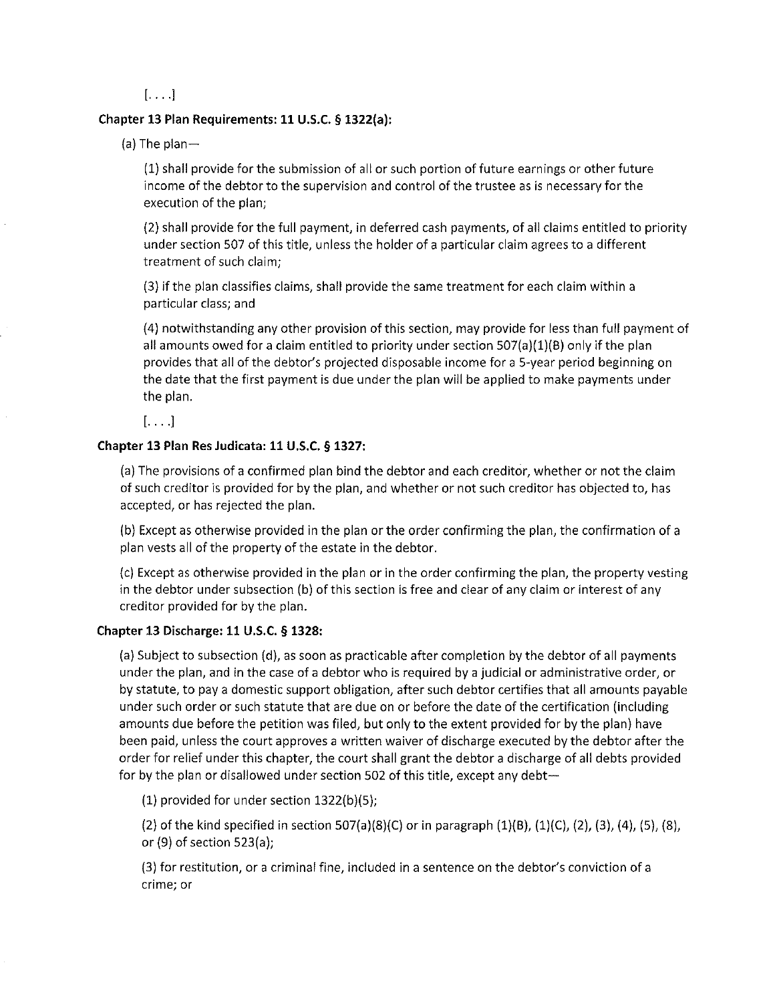$[...]$ 

#### Chapter 13 Plan Requirements: 11 U.S.C. § 1322(a):

 $(a)$  The plan-

(1) shall provide for the submission of all or such portion of future earnings or other future income of the debtor to the supervision and control of the trustee as is necessary for the execution of the plan:

(2) shall provide for the full payment, in deferred cash payments, of all claims entitled to priority under section 507 of this title, unless the holder of a particular claim agrees to a different treatment of such claim;

(3) if the plan classifies claims, shall provide the same treatment for each claim within a particular class; and

(4) notwithstanding any other provision of this section, may provide for less than full payment of all amounts owed for a claim entitled to priority under section  $507(a)(1)(B)$  only if the plan provides that all of the debtor's projected disposable income for a 5-year period beginning on the date that the first payment is due under the plan will be applied to make payments under the plan.

 $[\ldots]$ 

#### Chapter 13 Plan Res Judicata: 11 U.S.C. § 1327:

(a) The provisions of a confirmed plan bind the debtor and each creditor, whether or not the claim of such creditor is provided for by the plan, and whether or not such creditor has objected to, has accepted, or has rejected the plan.

(b) Except as otherwise provided in the plan or the order confirming the plan, the confirmation of a plan vests all of the property of the estate in the debtor.

(c) Except as otherwise provided in the plan or in the order confirming the plan, the property vesting in the debtor under subsection (b) of this section is free and clear of any claim or interest of any creditor provided for by the plan.

#### Chapter 13 Discharge: 11 U.S.C. § 1328:

(a) Subject to subsection (d), as soon as practicable after completion by the debtor of all payments under the plan, and in the case of a debtor who is required by a judicial or administrative order, or by statute, to pay a domestic support obligation, after such debtor certifies that all amounts payable under such order or such statute that are due on or before the date of the certification (including amounts due before the petition was filed, but only to the extent provided for by the plan) have been paid, unless the court approves a written waiver of discharge executed by the debtor after the order for relief under this chapter, the court shall grant the debtor a discharge of all debts provided for by the plan or disallowed under section 502 of this title, except any debt-

 $(1)$  provided for under section  $1322(b)(5)$ ;

(2) of the kind specified in section 507(a)(8)(C) or in paragraph  $(1)(B)$ ,  $(1)(C)$ ,  $(2)$ ,  $(3)$ ,  $(4)$ ,  $(5)$ ,  $(8)$ , or  $(9)$  of section 523(a);

(3) for restitution, or a criminal fine, included in a sentence on the debtor's conviction of a crime; or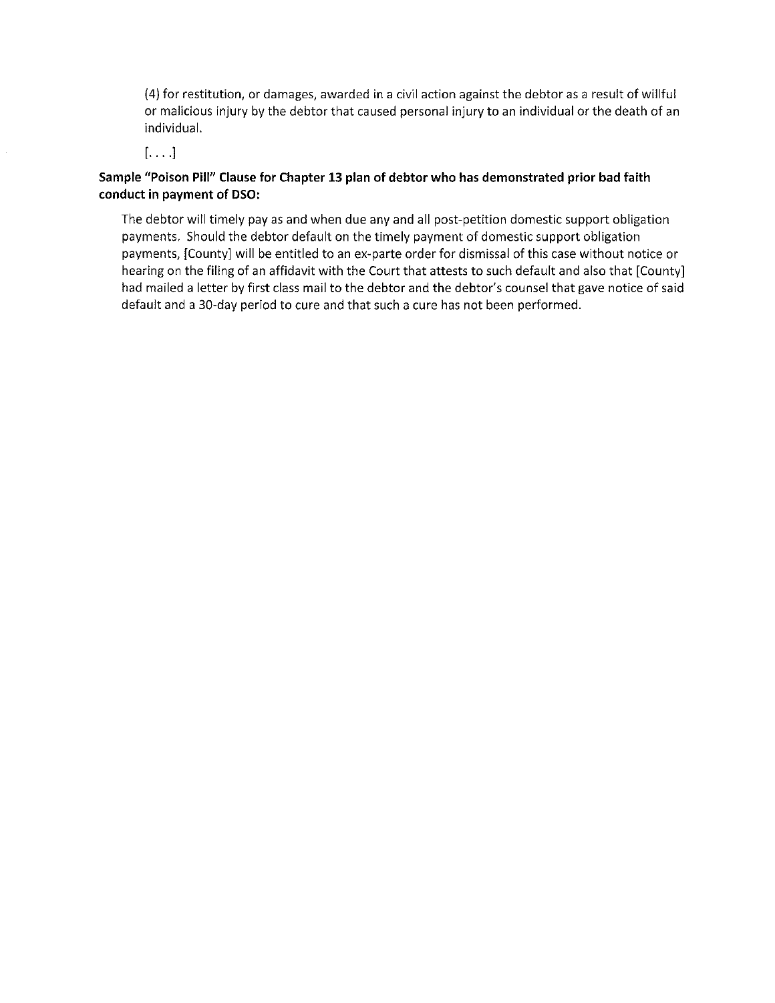(4) for restitution, or damages, awarded in a civil action against the debtor as a result of willful or malicious injury by the debtor that caused personal injury to an individual or the death of an individual.

 $[\ldots]$ 

### Sample "Poison Pill" Clause for Chapter 13 plan of debtor who has demonstrated prior bad faith conduct in payment of DSO:

The debtor will timely pay as and when due any and all post-petition domestic support obligation payments. Should the debtor default on the timely payment of domestic support obligation payments, [County] will be entitled to an ex-parte order for dismissal of this case without notice or hearing on the filing of an affidavit with the Court that attests to such default and also that [County] had mailed a letter by first class mail to the debtor and the debtor's counsel that gave notice of said default and a 30-day period to cure and that such a cure has not been performed.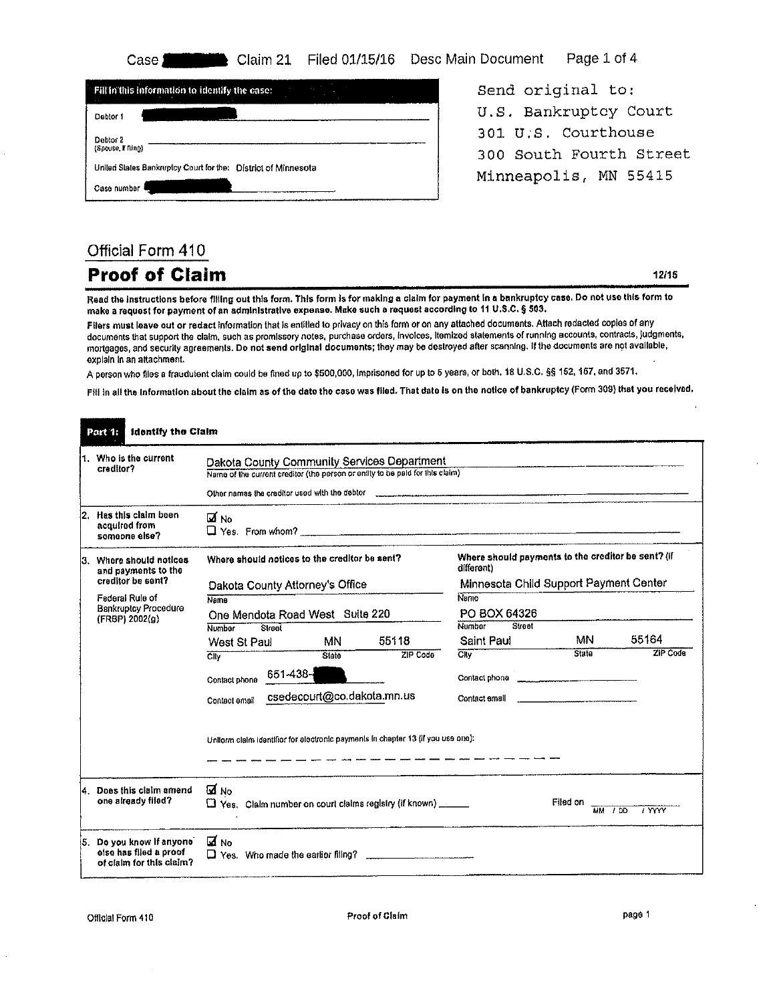**Claim 21** Filed 01/15/16 Desc Main Document Page 1 of 4

| Fill in this information to identify the case:                |  |
|---------------------------------------------------------------|--|
| Deblor 1                                                      |  |
| Dobtor 2<br>(Spouse, If filing)                               |  |
| Uniled States Bankruptcy Court for the: District of Minnesota |  |
| Case number                                                   |  |

Send original to: U.S. Bankruptcy Court 301 U.S. Courthouse 300 South Fourth Street Minneapolis, MN 55415

# Official Form 410 **Proof of Claim**

Case J

12/15

Read the instructions before filling out this form. This form is for making a claim for payment in a bankruptcy case. Do not use this form to make a request for payment of an administrative expense. Make such a request according to 11 U.S.C. § 503.

Filers must leave out or redact information that is entitled to privacy on this form or on any attached documents. Attach redacted copies of any documents that support the claim, such as promissory notes, purchase orders, invoices, itemized statements of running accounts, contracts, judgments, mortgages, and security agreements. Do not send original documents; they may be destroyed after scanning. If the documents are not available, explain in an attachment.

A person who files a fraudulent claim could be fined up to \$500,000, Imprisoned for up to 5 years, or both, 18 U.S.C. §§ 152, 157, and 3571,

Fill in all the Information about the claim as of the date the case was filed. That date is on the notice of bankruptcy (Form 309) that you received.

| Part 1: Identify the Claim                                                     |                                                                                                                                             |                                                                                                                                                                                                                                                                                                                                                                                                                                                                        |                              |          |  |  |  |
|--------------------------------------------------------------------------------|---------------------------------------------------------------------------------------------------------------------------------------------|------------------------------------------------------------------------------------------------------------------------------------------------------------------------------------------------------------------------------------------------------------------------------------------------------------------------------------------------------------------------------------------------------------------------------------------------------------------------|------------------------------|----------|--|--|--|
| 1. Who is the current<br>creditor?                                             | Dakota County Community Services Department<br>Name of the current creditor (the person or entity to be paid for this claim)                |                                                                                                                                                                                                                                                                                                                                                                                                                                                                        |                              |          |  |  |  |
|                                                                                |                                                                                                                                             | Other names the creditor used with the debtor entertainment contains the community of the credit of the credit of the state of the credit of the state of the credit of the state of the state of the credit of the state of t<br><u> 1980 - Jan Stein Stein Stein Stein Stein Stein Stein Stein Stein Stein Stein Stein Stein Stein Stein Stein Stein Stein Stein Stein Stein Stein Stein Stein Stein Stein Stein Stein Stein Stein Stein Stein Stein Stein Stein</u> |                              |          |  |  |  |
| 2. Has this claim been<br>acquired from<br>someone else?                       | <b>M</b> No                                                                                                                                 |                                                                                                                                                                                                                                                                                                                                                                                                                                                                        |                              |          |  |  |  |
| 3. Where should notices<br>and payments to the                                 | Where should notices to the creditor be sent?                                                                                               | Where should payments to the creditor be sent? (If<br>different)                                                                                                                                                                                                                                                                                                                                                                                                       |                              |          |  |  |  |
| creditor be sent?                                                              | Dakota County Attorney's Office                                                                                                             | Minnesota Child Support Payment Center                                                                                                                                                                                                                                                                                                                                                                                                                                 |                              |          |  |  |  |
| Federal Rule of                                                                | <b>Name</b>                                                                                                                                 | Namo                                                                                                                                                                                                                                                                                                                                                                                                                                                                   |                              |          |  |  |  |
| <b>Bankruptcy Procedure</b><br>(FRBP) 2002(g)                                  | One Mendota Road West Suite 220                                                                                                             | PO BOX 64326                                                                                                                                                                                                                                                                                                                                                                                                                                                           |                              |          |  |  |  |
|                                                                                | <b>Street</b><br>Number                                                                                                                     | Street<br>Number                                                                                                                                                                                                                                                                                                                                                                                                                                                       |                              |          |  |  |  |
|                                                                                | 55118<br>MN.<br>West St Paul                                                                                                                | Saint Paul                                                                                                                                                                                                                                                                                                                                                                                                                                                             | MN.                          | 55164    |  |  |  |
|                                                                                | ZIP Code<br>$\overline{\mathsf{S}^{\mathsf{late}}}$<br>C <sub>IV</sub>                                                                      | City                                                                                                                                                                                                                                                                                                                                                                                                                                                                   | <b>State</b>                 | ZIP Code |  |  |  |
|                                                                                | 651-438-<br>Contact phone                                                                                                                   | Contact phone experience and contact the contact of the contact of the contact of the contact of the contact of                                                                                                                                                                                                                                                                                                                                                        |                              |          |  |  |  |
|                                                                                | csedecourt@co.dakota.mn.us<br>Contact email                                                                                                 | Contact email <u>________________________________</u>                                                                                                                                                                                                                                                                                                                                                                                                                  |                              |          |  |  |  |
|                                                                                | Uniform claim identifier for electronic payments in chapter 13 (if you use one):<br>and the same way when they are same more what were some |                                                                                                                                                                                                                                                                                                                                                                                                                                                                        |                              |          |  |  |  |
| 4. Does this claim amend<br>one already filed?                                 | <b>M</b> No<br>[2] Yes. Claim number on court claims registry (if known) ______                                                             |                                                                                                                                                                                                                                                                                                                                                                                                                                                                        | Filed on $\frac{1}{MM + DD}$ | 1.000Y   |  |  |  |
| 5. Do you know if anyons<br>else has filed a proof<br>of claim for this claim? | <b>⊡</b> No<br>$\Box$ Yes. Who made the earlier filing? $\Box$                                                                              |                                                                                                                                                                                                                                                                                                                                                                                                                                                                        |                              |          |  |  |  |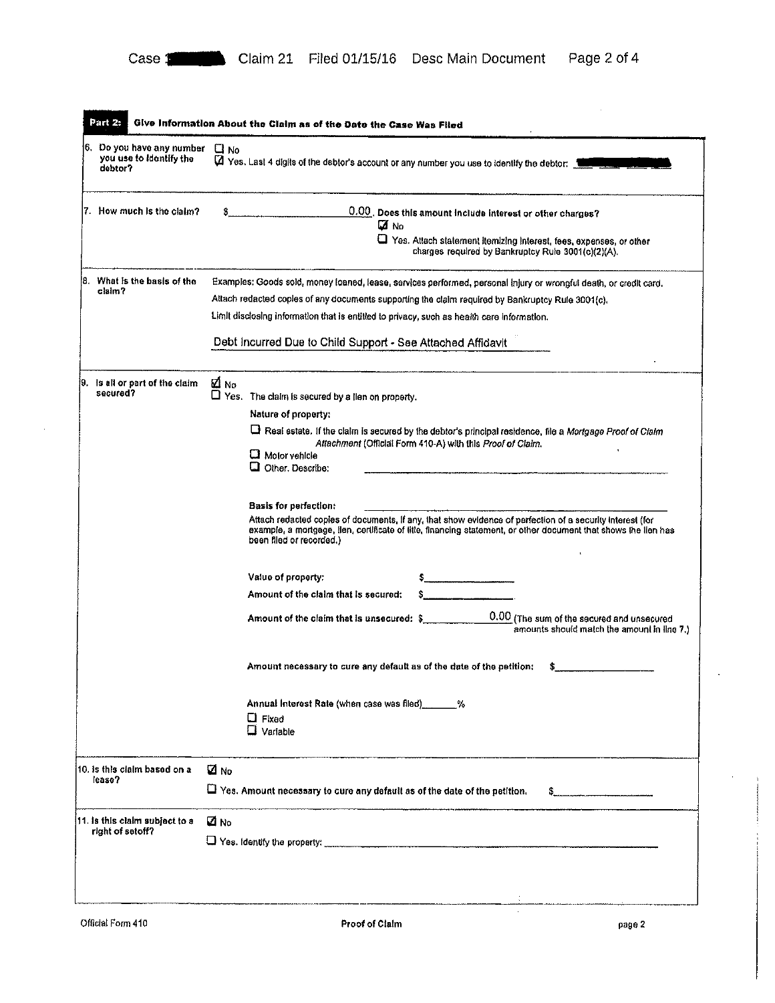|     | 6. Do you have any number<br>you use to identify the<br>debtor? | $\square$ No<br>Ves. Last 4 digits of the debtor's account or any number you use to identify the debtor:                                                                                                                                                                                                                                                                                                                                                                                                                                                                                                                                                                                                                                                                                                                                                                                                                                                                       |  |  |  |
|-----|-----------------------------------------------------------------|--------------------------------------------------------------------------------------------------------------------------------------------------------------------------------------------------------------------------------------------------------------------------------------------------------------------------------------------------------------------------------------------------------------------------------------------------------------------------------------------------------------------------------------------------------------------------------------------------------------------------------------------------------------------------------------------------------------------------------------------------------------------------------------------------------------------------------------------------------------------------------------------------------------------------------------------------------------------------------|--|--|--|
|     | 7. How much is the claim?                                       | 0.00. Does this amount include interest or other charges?<br>M No<br>U Yes. Attach statement itemizing interest, fees, expenses, or other<br>charges required by Bankruptcy Rule 3001(c)(2)(A).                                                                                                                                                                                                                                                                                                                                                                                                                                                                                                                                                                                                                                                                                                                                                                                |  |  |  |
| 8.  | What is the basis of the<br>cialm?                              | Examples: Goods sold, money loaned, lease, services performed, personal injury or wrongful death, or credit card,<br>Attach redacted copies of any documents supporting the claim required by Bankruptcy Rule 3001(c).<br>Limit disclosing information that is entitled to privacy, such as health care information.<br>Debt incurred Due to Child Support - See Attached Affidavit                                                                                                                                                                                                                                                                                                                                                                                                                                                                                                                                                                                            |  |  |  |
| I9. | is all or part of the claim<br>secured?                         | ⊠ี่ No<br>$\square$ Yes. The claim is secured by a lien on property.<br>Nature of property:<br>Real estate. If the claim is secured by the debtor's principal residence, file a Mortgage Proof of Claim<br>Attachment (Official Form 410-A) with this Proof of Claim.<br>Motor venicle<br>Other, Describe:<br>ப<br><b>Basis for perfection:</b><br>Attach redacted copies of documents, if any, that show evidence of perfection of a security interest (for<br>example, a mortgage, lien, certificate of title, financing statement, or other document that shows the lien has<br>been filed or recorded.)<br>Value of property:<br>Amount of the claim that is secured:<br>0.00 (The sum of the secured and unsecured<br>Amount of the claim that is unsecured: \$<br>amounts should match the amount in line 7.)<br>Amount necessary to cure any default as of the date of the petition:<br>Annual Interest Rate (when case was filed) 4<br>$\Box$ Fixed<br>$\Box$ Variable |  |  |  |
|     | 10, is this claim based on a<br>lease?                          | <b>ZI</b> No<br>$\Box$ Yes. Amount necessary to cure any default as of the date of the petition.                                                                                                                                                                                                                                                                                                                                                                                                                                                                                                                                                                                                                                                                                                                                                                                                                                                                               |  |  |  |
|     | 11. Is this claim subject to a<br>right of setoff?              | Ø No                                                                                                                                                                                                                                                                                                                                                                                                                                                                                                                                                                                                                                                                                                                                                                                                                                                                                                                                                                           |  |  |  |

 $\bar{z}$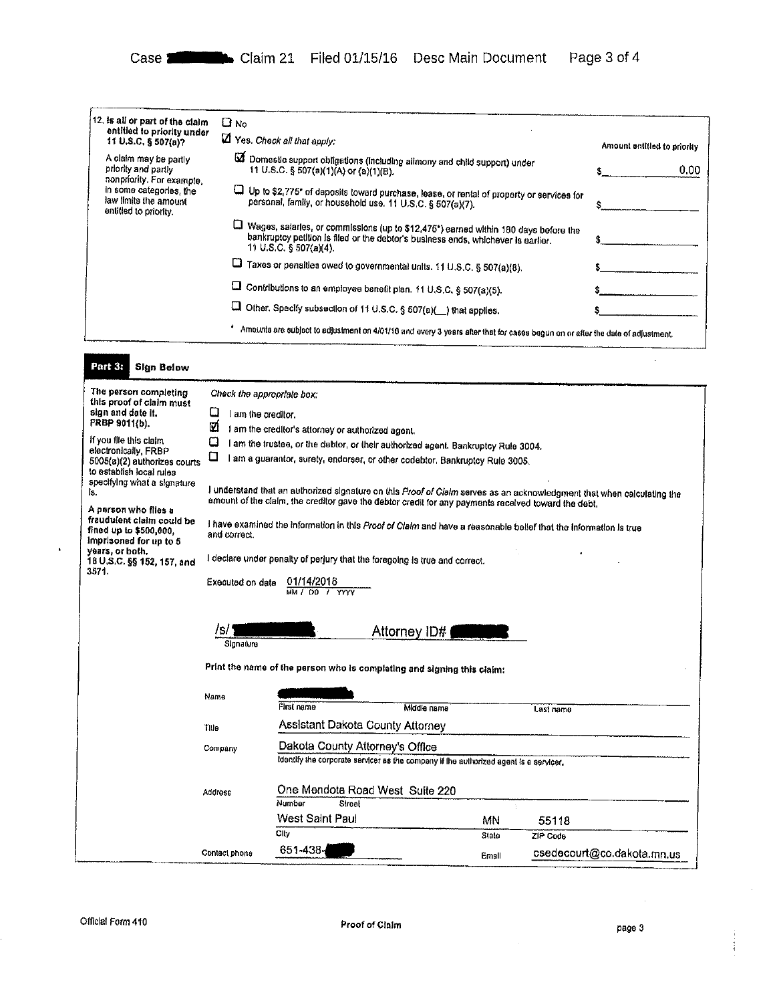| 12. Is all or part of the claim                                           | LI No                                                                                                                                                                                                |                             |
|---------------------------------------------------------------------------|------------------------------------------------------------------------------------------------------------------------------------------------------------------------------------------------------|-----------------------------|
| entitled to priority under<br>11 U.S.C. § 507(a)?                         | Yes. Check all that apply:                                                                                                                                                                           | Amount entitled to priority |
| A claim may be partly<br>priority and partly<br>nonpriority. For example, | Domestic support obligations (including alimony and child support) under<br>11 U.S.C. § 507(a)(1)(A) or (a)(1)(B).                                                                                   | 0.00                        |
| in some categories, the<br>law limits the amount<br>entitled to priority. | Up to \$2,775* of deposits toward purchase, lease, or rental of property or services for<br>personal, family, or household use. 11 U.S.C. § 507(a)(7).                                               |                             |
|                                                                           | U Wages, salarles, or commissions (up to \$12,475*) earned within 180 days before the<br>bankruptcy petition is filed or the debtor's business ends, whichever is earlier.<br>11 U.S.C. § 507(a)(4). |                             |
|                                                                           | $\Box$ Taxes or penalties owed to governmental units, 11 U.S.C. § 507(a)(8).                                                                                                                         |                             |
|                                                                           | $\square$ Contributions to an employee benefit plan. 11 U.S.C. § 507(a)(5).                                                                                                                          |                             |
|                                                                           | Other. Specify subsection of 11 U.S.C. § 507(a)(_) that applies.                                                                                                                                     |                             |
|                                                                           | Amounts are subject to adjustment on 4/01/16 and every 3 years after that for cases begun on or after the date of adjustment.                                                                        |                             |

| Part 3:<br><b>Sign Below</b>                                                                                                         |                                                                                                                                  |               |                                                                                                     |             |                                                                                                                        |
|--------------------------------------------------------------------------------------------------------------------------------------|----------------------------------------------------------------------------------------------------------------------------------|---------------|-----------------------------------------------------------------------------------------------------|-------------|------------------------------------------------------------------------------------------------------------------------|
| The person completing<br>this proof of claim must                                                                                    |                                                                                                                                  |               | Check the appropriate box:                                                                          |             |                                                                                                                        |
| sign and date it.                                                                                                                    | Q<br>I am the creditor.                                                                                                          |               |                                                                                                     |             |                                                                                                                        |
| FRBP 9011(b).                                                                                                                        | Ø                                                                                                                                |               | I am the creditor's attorney or authorized agent.                                                   |             |                                                                                                                        |
| If you file this claim<br>electronically, FRBP                                                                                       | О                                                                                                                                |               | I am the trustee, or the debtor, or their authorized agent. Bankruptcy Rule 3004.                   |             |                                                                                                                        |
| 5005(a)(2) authorizes courts<br>to establish local rules                                                                             | ⊔                                                                                                                                |               | I am a guarantor, surety, endorser, or other codebtor. Bankruptcy Rule 3005.                        |             |                                                                                                                        |
| specifying what a signature<br>ls.                                                                                                   |                                                                                                                                  |               | amount of the claim, the creditor gave the debtor credit for any payments received toward the debt. |             | I understand that an authorized signature on this Proof of Claim serves as an acknowledgment that when calculating the |
| A person who files a<br>fraudulent claim could be<br>fined up to \$500,000.<br>imprisoned for up to 5                                | I have examined the information in this Proof of Claim and have a reasonable bellef that the information is true<br>and correct. |               |                                                                                                     |             |                                                                                                                        |
| years, or both.<br>I declare under penalty of perjury that the foregoing is true and correct.<br>18 U.S.C. §§ 152, 157, and<br>3571. |                                                                                                                                  |               |                                                                                                     |             |                                                                                                                        |
| 01/14/2016<br>Executed on date<br>MM / DD / YYYY                                                                                     |                                                                                                                                  |               |                                                                                                     |             |                                                                                                                        |
|                                                                                                                                      | /s/                                                                                                                              | Signature     | Attorney ID#<br>Print the name of the person who is completing and signing this claim:              |             |                                                                                                                        |
| Name                                                                                                                                 |                                                                                                                                  |               |                                                                                                     |             |                                                                                                                        |
|                                                                                                                                      |                                                                                                                                  |               | First name                                                                                          | Middle name | Last name                                                                                                              |
| Title                                                                                                                                |                                                                                                                                  |               | Assistant Dakota County Attorney                                                                    |             |                                                                                                                        |
| Dakota County Attorney's Office<br>Company<br>Identify the corporate servicer as the company if the authorized agent is a servicer.  |                                                                                                                                  |               |                                                                                                     |             |                                                                                                                        |
|                                                                                                                                      |                                                                                                                                  |               |                                                                                                     |             |                                                                                                                        |
|                                                                                                                                      | Address                                                                                                                          |               | One Mendota Road West Suite 220<br>Number<br>Street                                                 |             |                                                                                                                        |
|                                                                                                                                      |                                                                                                                                  |               | West Saint Paul                                                                                     | MN          | 55118                                                                                                                  |
|                                                                                                                                      |                                                                                                                                  |               | Cliy                                                                                                | State       | ZIP Code                                                                                                               |
|                                                                                                                                      |                                                                                                                                  | Contact phone | 651-438-                                                                                            | Emall       | csedecourt@co.dakota.mn.us                                                                                             |

 $\bullet$ 

 $\bar{z}$ 

 $\frac{1}{4}$